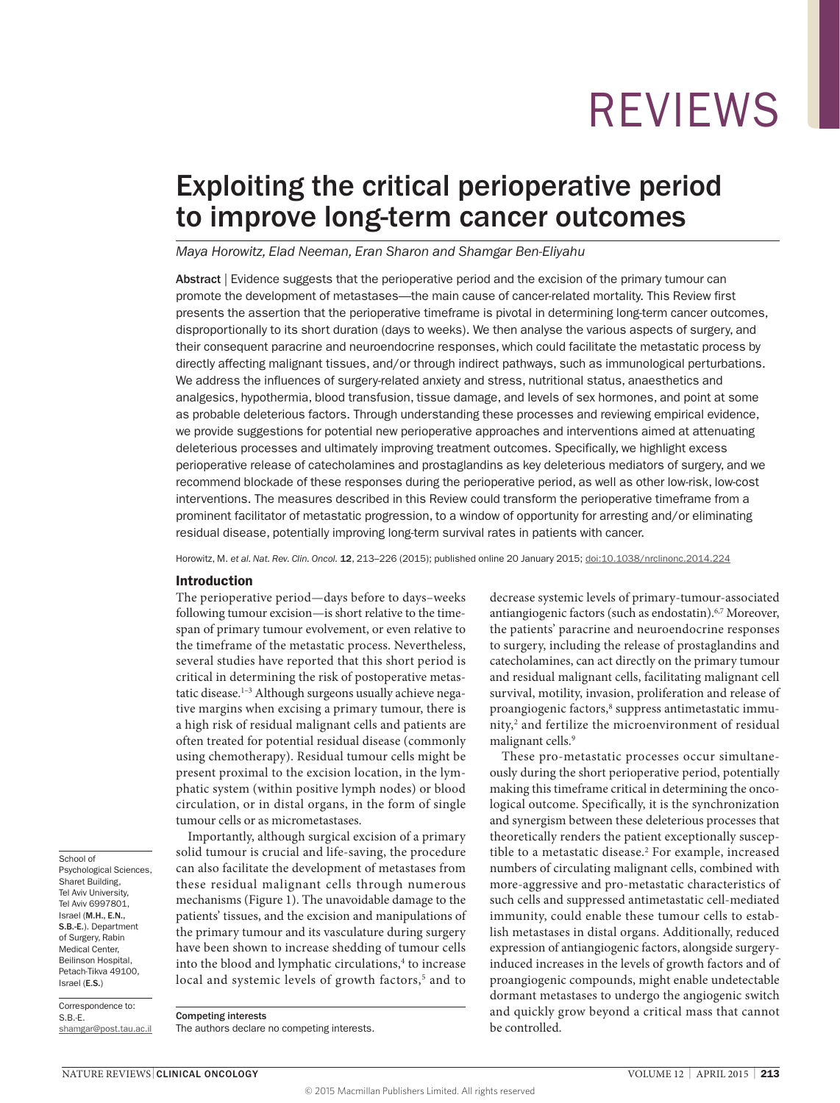## Exploiting the critical perioperative period to improve long-term cancer outcomes

### *Maya Horowitz, Elad Neeman, Eran Sharon and Shamgar Ben-Eliyahu*

Abstract | Evidence suggests that the perioperative period and the excision of the primary tumour can promote the development of metastases—the main cause of cancer-related mortality. This Review first presents the assertion that the perioperative timeframe is pivotal in determining long-term cancer outcomes, disproportionally to its short duration (days to weeks). We then analyse the various aspects of surgery, and their consequent paracrine and neuroendocrine responses, which could facilitate the metastatic process by directly affecting malignant tissues, and/or through indirect pathways, such as immunological perturbations. We address the influences of surgery-related anxiety and stress, nutritional status, anaesthetics and analgesics, hypothermia, blood transfusion, tissue damage, and levels of sex hormones, and point at some as probable deleterious factors. Through understanding these processes and reviewing empirical evidence, we provide suggestions for potential new perioperative approaches and interventions aimed at attenuating deleterious processes and ultimately improving treatment outcomes. Specifically, we highlight excess perioperative release of catecholamines and prostaglandins as key deleterious mediators of surgery, and we recommend blockade of these responses during the perioperative period, as well as other low-risk, low-cost interventions. The measures described in this Review could transform the perioperative timeframe from a prominent facilitator of metastatic progression, to a window of opportunity for arresting and/or eliminating residual disease, potentially improving long-term survival rates in patients with cancer.

Horowitz, M. *et al. Nat. Rev. Clin. Oncol.* 12, 213–226 (2015); published online 20 January 2015; [doi:10.1038/nrclinonc.2014.224](http://www.nature.com/doifinder/10.1038/nrclinonc.2014.224)

### Introduction

The perioperative period—days before to days–weeks following tumour excision—is short relative to the timespan of primary tumour evolvement, or even relative to the timeframe of the metastatic process. Nevertheless, several studies have reported that this short period is critical in determining the risk of postoperative metastatic disease.<sup>1-3</sup> Although surgeons usually achieve negative margins when excising a primary tumour, there is a high risk of residual malignant cells and patients are often treated for potential residual disease (commonly using chemotherapy). Residual tumour cells might be present proximal to the excision location, in the lymphatic system (within positive lymph nodes) or blood circulation, or in distal organs, in the form of single tumour cells or as micrometastases.

School of Psychological Sciences, Sharet Building, Tel Aviv University, Tel Aviv 6997801, Israel (M.H., E.N., S.B.-E.). Department of Surgery, Rabin Medical Center, Beilinson Hospital, Petach-Tikva 49100, Israel (E.S.)

Correspondence to: S.B.-E. [shamgar@post.tau.ac.il](mailto:shamgar@post.tau.ac.il)

Importantly, although surgical excision of a primary solid tumour is crucial and life-saving, the procedure can also facilitate the development of metastases from these residual malignant cells through numerous mechanisms (Figure 1). The unavoidable damage to the patients' tissues, and the excision and manipulations of the primary tumour and its vasculature during surgery have been shown to increase shedding of tumour cells into the blood and lymphatic circulations,<sup>4</sup> to increase local and systemic levels of growth factors,<sup>5</sup> and to

Competing interests The authors declare no competing interests. decrease systemic levels of primary-tumour-associated antiangiogenic factors (such as endostatin).6,7 Moreover, the patients' paracrine and neuroendocrine responses to surgery, including the release of prostaglandins and catecholamines, can act directly on the primary tumour and residual malignant cells, facilitating malignant cell survival, motility, invasion, proliferation and release of proangiogenic factors,<sup>8</sup> suppress antimetastatic immunity,<sup>2</sup> and fertilize the microenvironment of residual malignant cells.<sup>9</sup>

These pro-metastatic processes occur simultaneously during the short perioperative period, potentially making this timeframe critical in determining the oncological outcome. Specifically, it is the synchronization and synergism between these deleterious processes that theoretically renders the patient exceptionally susceptible to a metastatic disease.2 For example, increased numbers of circulating malignant cells, combined with more-aggressive and pro-metastatic characteristics of such cells and suppressed antimetastatic cell-mediated immunity, could enable these tumour cells to establish metastases in distal organs. Additionally, reduced expression of antiangiogenic factors, alongside surgeryinduced increases in the levels of growth factors and of proangiogenic compounds, might enable undetectable dormant metastases to undergo the angiogenic switch and quickly grow beyond a critical mass that cannot be controlled.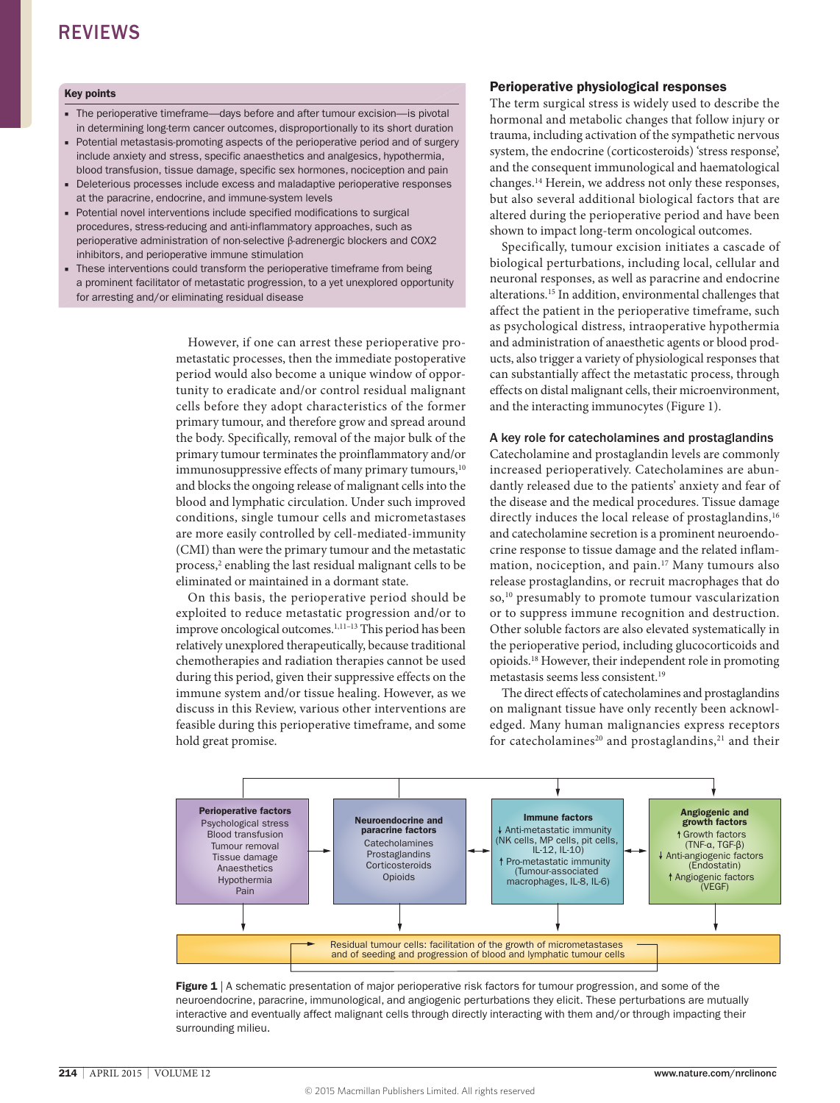#### Key points

- The perioperative timeframe—days before and after tumour excision—is pivotal in determining long-term cancer outcomes, disproportionally to its short duration
- Potential metastasis-promoting aspects of the perioperative period and of surgery include anxiety and stress, specific anaesthetics and analgesics, hypothermia, blood transfusion, tissue damage, specific sex hormones, nociception and pain
- Deleterious processes include excess and maladaptive perioperative responses at the paracrine, endocrine, and immune-system levels
- Potential novel interventions include specified modifications to surgical procedures, stress-reducing and anti-inflammatory approaches, such as perioperative administration of non-selective β-adrenergic blockers and COX2 inhibitors, and perioperative immune stimulation
- These interventions could transform the perioperative timeframe from being a prominent facilitator of metastatic progression, to a yet unexplored opportunity for arresting and/or eliminating residual disease

However, if one can arrest these perioperative prometastatic processes, then the immediate postoperative period would also become a unique window of opportunity to eradicate and/or control residual malignant cells before they adopt characteristics of the former primary tumour, and therefore grow and spread around the body. Specifically, removal of the major bulk of the primary tumour terminates the proinflammatory and/or immunosuppressive effects of many primary tumours, $10$ and blocks the ongoing release of malignant cells into the blood and lymphatic circulation. Under such improved conditions, single tumour cells and micrometastases are more easily controlled by cell-mediated-immunity (CMI) than were the primary tumour and the metastatic process,<sup>2</sup> enabling the last residual malignant cells to be eliminated or maintained in a dormant state.

On this basis, the perioperative period should be exploited to reduce metastatic progression and/or to improve oncological outcomes.1,11–13 This period has been relatively unexplored therapeutically, because traditional chemotherapies and radiation therapies cannot be used during this period, given their suppressive effects on the immune system and/or tissue healing. However, as we discuss in this Review, various other interventions are feasible during this perioperative timeframe, and some hold great promise.

### Perioperative physiological responses

The term surgical stress is widely used to describe the hormonal and metabolic changes that follow injury or trauma, including activation of the sympathetic nervous system, the endocrine (corticosteroids) 'stress response', and the consequent immunological and haematological changes.14 Herein, we address not only these responses, but also several additional biological factors that are altered during the perioperative period and have been shown to impact long-term oncological outcomes.

Specifically, tumour excision initiates a cascade of biological perturbations, including local, cellular and neuronal responses, as well as paracrine and endocrine alterations.15 In addition, environmental challenges that affect the patient in the perioperative timeframe, such as psychological distress, intraoperative hypothermia and administration of anaesthetic agents or blood products, also trigger a variety of physiological responses that can substantially affect the metastatic process, through effects on distal malignant cells, their microenvironment, and the interacting immunocytes (Figure 1).

### A key role for catecholamines and prostaglandins

Catecholamine and prostaglandin levels are commonly increased perioperatively. Catecholamines are abundantly released due to the patients' anxiety and fear of the disease and the medical procedures. Tissue damage directly induces the local release of prostaglandins,<sup>16</sup> and catecholamine secretion is a prominent neuroendocrine response to tissue damage and the related inflammation, nociception, and pain.17 Many tumours also release prostaglandins, or recruit macrophages that do so,<sup>10</sup> presumably to promote tumour vascularization or to suppress immune recognition and destruction. Other soluble factors are also elevated systematically in the perioperative period, including glucocorticoids and opioids.18 However, their independent role in promoting metastasis seems less consistent.19

The direct effects of catecholamines and prostaglandins on malignant tissue have only recently been acknowledged. Many human malignancies express receptors for catecholamines<sup>20</sup> and prostaglandins,<sup>21</sup> and their



neuroendocrine, paracrine, immunological, and angiogenic perturbations they elicit. These perturbations are mutually Figure 1 | A schematic presentation of major perioperative risk factors for tumour progression, and some of the interactive and eventually affect malignant cells through directly interacting with them and/or through impacting their surrounding milieu.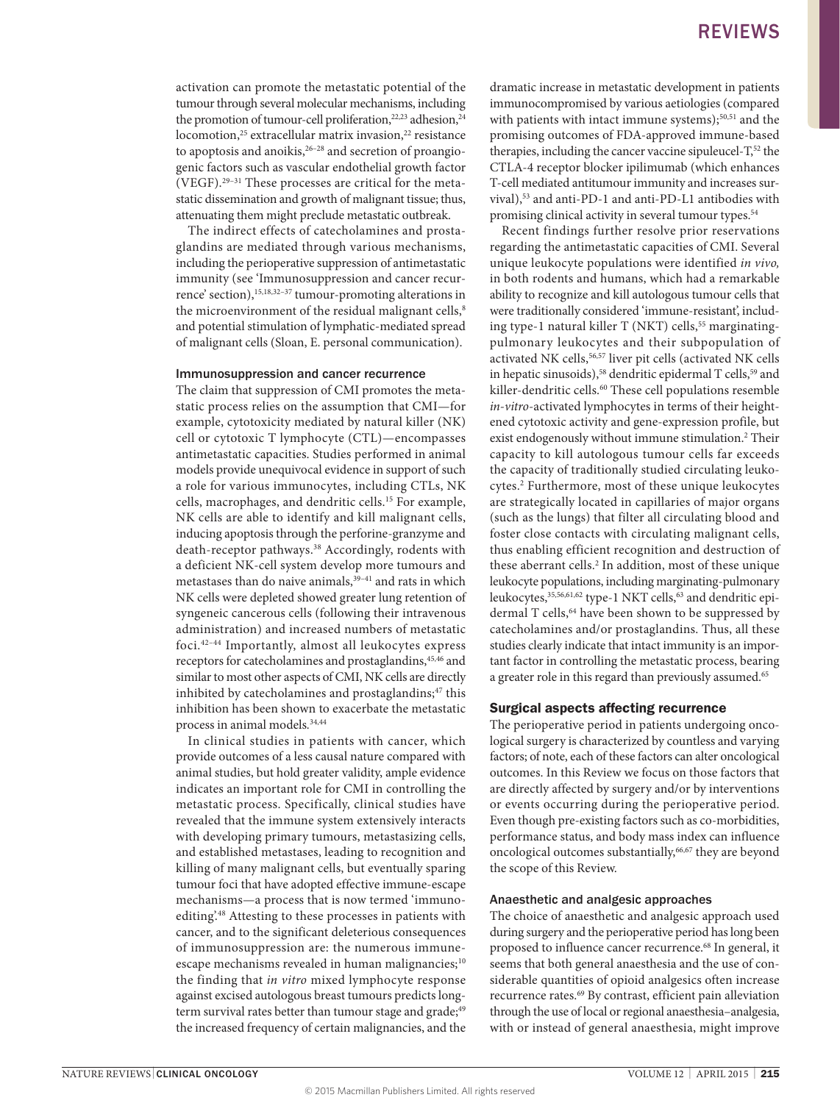activation can promote the metastatic potential of the tumour through several molecular mechanisms, including the promotion of tumour-cell proliferation,<sup>22,23</sup> adhesion,<sup>24</sup>  $10$ comotion,<sup>25</sup> extracellular matrix invasion,<sup>22</sup> resistance to apoptosis and anoikis, $26-28$  and secretion of proangiogenic factors such as vascular endothelial growth factor (VEGF).29–31 These processes are critical for the metastatic dissemination and growth of malignant tissue; thus, attenuating them might preclude metastatic outbreak.

The indirect effects of catecholamines and prostaglandins are mediated through various mechanisms, including the perioperative suppression of antimetastatic immunity (see 'Immunosuppression and cancer recurrence' section),<sup>15,18,32-37</sup> tumour-promoting alterations in the microenvironment of the residual malignant cells,<sup>8</sup> and potential stimulation of lymphatic-mediated spread of malignant cells (Sloan, E. personal communication).

### Immunosuppression and cancer recurrence

The claim that suppression of CMI promotes the metastatic process relies on the assumption that CMI—for example, cytotoxicity mediated by natural killer (NK) cell or cytotoxic T lymphocyte (CTL)—encompasses antimetastatic capacities. Studies performed in animal models provide unequivocal evidence in support of such a role for various immunocytes, including CTLs, NK cells, macrophages, and dendritic cells.15 For example, NK cells are able to identify and kill malignant cells, inducing apoptosis through the perforine-granzyme and death-receptor pathways.<sup>38</sup> Accordingly, rodents with a deficient NK-cell system develop more tumours and metastases than do naive animals,<sup>39-41</sup> and rats in which NK cells were depleted showed greater lung retention of syngeneic cancerous cells (following their intravenous administration) and increased numbers of metastatic foci.42–44 Importantly, almost all leukocytes express receptors for catecholamines and prostaglandins,<sup>45,46</sup> and similar to most other aspects of CMI, NK cells are directly inhibited by catecholamines and prostaglandins;<sup>47</sup> this inhibition has been shown to exacerbate the metastatic process in animal models*.* 34,44

In clinical studies in patients with cancer, which provide outcomes of a less causal nature compared with animal studies, but hold greater validity, ample evidence indicates an important role for CMI in controlling the metastatic process. Specifically, clinical studies have revealed that the immune system extensively interacts with developing primary tumours, metastasizing cells, and established metastases, leading to recognition and killing of many malignant cells, but eventually sparing tumour foci that have adopted effective immune-escape mechanisms—a process that is now termed 'immunoediting.<sup>48</sup> Attesting to these processes in patients with cancer, and to the significant deleterious consequences of immunosuppression are: the numerous immuneescape mechanisms revealed in human malignancies;<sup>10</sup> the finding that *in vitro* mixed lymphocyte response against excised autologous breast tumours predicts longterm survival rates better than tumour stage and grade;<sup>49</sup> the increased frequency of certain malignancies, and the dramatic increase in metastatic development in patients immunocompromised by various aetiologies (compared with patients with intact immune systems);<sup>50,51</sup> and the promising outcomes of FDA-approved immune-based therapies, including the cancer vaccine sipuleucel-T,<sup>52</sup> the CTLA4 receptor blocker ipilimumab (which enhances T-cell mediated antitumour immunity and increases survival),<sup>53</sup> and anti-PD-1 and anti-PD-L1 antibodies with promising clinical activity in several tumour types.<sup>54</sup>

Recent findings further resolve prior reservations regarding the antimetastatic capacities of CMI. Several unique leukocyte populations were identified *in vivo,* in both rodents and humans, which had a remarkable ability to recognize and kill autologous tumour cells that were traditionally considered 'immune-resistant', including type-1 natural killer  $T$  (NKT) cells,<sup>55</sup> marginatingpulmonary leukocytes and their subpopulation of activated NK cells,56,57 liver pit cells (activated NK cells in hepatic sinusoids),<sup>58</sup> dendritic epidermal T cells,<sup>59</sup> and killer-dendritic cells.<sup>60</sup> These cell populations resemble *in-vitro*-activated lymphocytes in terms of their heightened cytotoxic activity and gene-expression profile, but exist endogenously without immune stimulation.<sup>2</sup> Their capacity to kill autologous tumour cells far exceeds the capacity of traditionally studied circulating leukocytes.<sup>2</sup> Furthermore, most of these unique leukocytes are strategically located in capillaries of major organs (such as the lungs) that filter all circulating blood and foster close contacts with circulating malignant cells, thus enabling efficient recognition and destruction of these aberrant cells.<sup>2</sup> In addition, most of these unique leukocyte populations, including marginating-pulmonary leukocytes,<sup>35,56,61,62</sup> type-1 NKT cells,<sup>63</sup> and dendritic epidermal T cells, <sup>64</sup> have been shown to be suppressed by catecholamines and/or prostaglandins. Thus, all these studies clearly indicate that intact immunity is an important factor in controlling the metastatic process, bearing a greater role in this regard than previously assumed.<sup>65</sup>

### Surgical aspects affecting recurrence

The perioperative period in patients undergoing oncological surgery is characterized by countless and varying factors; of note, each of these factors can alter oncological outcomes. In this Review we focus on those factors that are directly affected by surgery and/or by interventions or events occurring during the perioperative period. Even though pre-existing factors such as co-morbidities, performance status, and body mass index can influence oncological outcomes substantially,<sup>66,67</sup> they are beyond the scope of this Review.

#### Anaesthetic and analgesic approaches

The choice of anaesthetic and analgesic approach used during surgery and the perioperative period has long been proposed to influence cancer recurrence.<sup>68</sup> In general, it seems that both general anaesthesia and the use of considerable quantities of opioid analgesics often increase recurrence rates.69 By contrast, efficient pain alleviation through the use of local or regional anaesthesia–analgesia, with or instead of general anaesthesia, might improve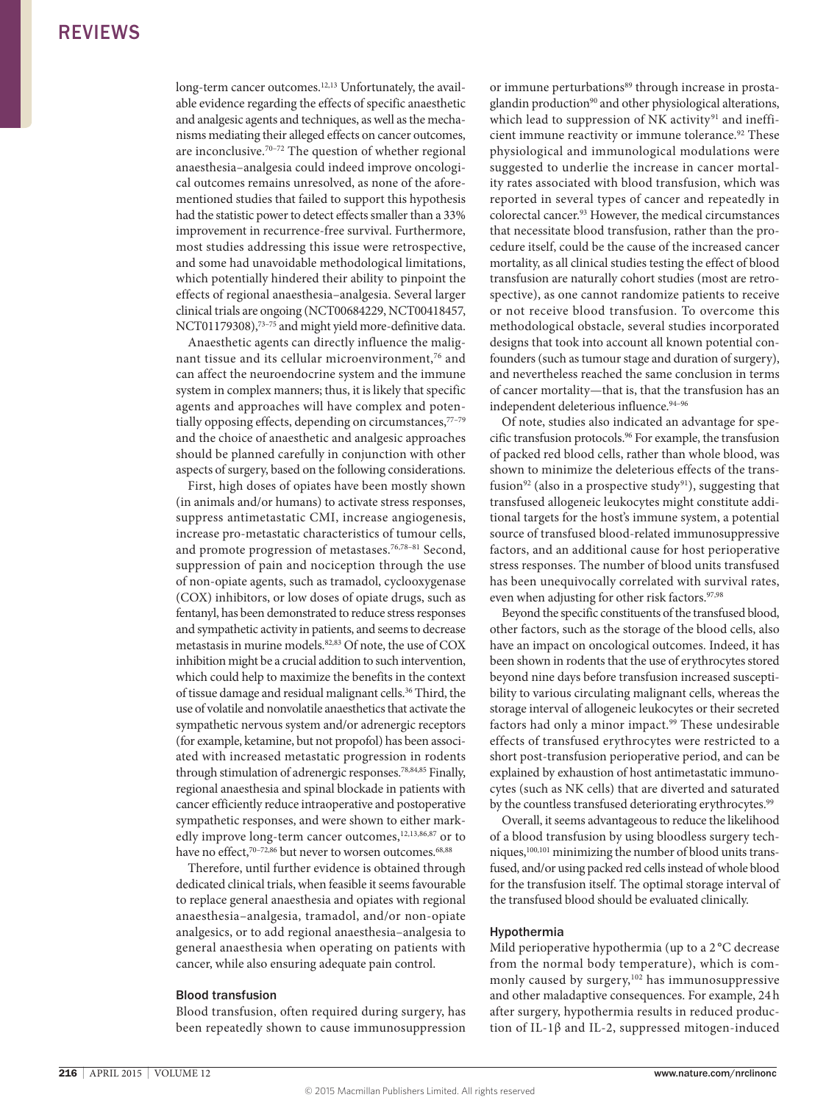long-term cancer outcomes.<sup>12,13</sup> Unfortunately, the available evidence regarding the effects of specific anaesthetic and analgesic agents and techniques, as well as the mechanisms mediating their alleged effects on cancer outcomes, are inconclusive. $70-72$  The question of whether regional anaesthesia–analgesia could indeed improve oncological outcomes remains unresolved, as none of the aforementioned studies that failed to support this hypothesis had the statistic power to detect effects smaller than a 33% improvement in recurrence-free survival. Furthermore, most studies addressing this issue were retrospective, and some had unavoidable methodological limitations, which potentially hindered their ability to pinpoint the effects of regional anaesthesia–analgesia. Several larger clinical trials are ongoing (NCT00684229, NCT00418457, NCT01179308),<sup>73-75</sup> and might yield more-definitive data.

Anaesthetic agents can directly influence the malignant tissue and its cellular microenvironment,<sup>76</sup> and can affect the neuroendocrine system and the immune system in complex manners; thus, it is likely that specific agents and approaches will have complex and potentially opposing effects, depending on circumstances,<sup>77-79</sup> and the choice of anaesthetic and analgesic approaches should be planned carefully in conjunction with other aspects of surgery, based on the following considerations.

First, high doses of opiates have been mostly shown (in animals and/or humans) to activate stress responses, suppress antimetastatic CMI, increase angiogenesis, increase pro-metastatic characteristics of tumour cells, and promote progression of metastases.76,78–81 Second, suppression of pain and nociception through the use of non-opiate agents, such as tramadol, cyclooxygenase (COX) inhibitors, or low doses of opiate drugs, such as fentanyl, has been demonstrated to reduce stress responses and sympathetic activity in patients, and seems to decrease metastasis in murine models.82,83 Of note, the use of COX inhibition might be a crucial addition to such intervention, which could help to maximize the benefits in the context of tissue damage and residual malignant cells.<sup>36</sup> Third, the use of volatile and nonvolatile anaesthetics that activate the sympathetic nervous system and/or adrenergic receptors (for example, ketamine, but not propofol) has been associated with increased metastatic progression in rodents through stimulation of adrenergic responses.<sup>78,84,85</sup> Finally, regional anaesthesia and spinal blockade in patients with cancer efficiently reduce intraoperative and postoperative sympathetic responses, and were shown to either markedly improve long-term cancer outcomes,<sup>12,13,86,87</sup> or to have no effect,<sup>70–72,86</sup> but never to worsen outcomes.<sup>68,88</sup>

Therefore, until further evidence is obtained through dedicated clinical trials, when feasible it seems favourable to replace general anaesthesia and opiates with regional anaesthesia–analgesia, tramadol, and/or non-opiate analgesics, or to add regional anaesthesia–analgesia to general anaesthesia when operating on patients with cancer, while also ensuring adequate pain control.

### Blood transfusion

Blood transfusion, often required during surgery, has been repeatedly shown to cause immunosuppression or immune perturbations<sup>89</sup> through increase in prostaglandin production<sup>90</sup> and other physiological alterations, which lead to suppression of NK activity<sup>91</sup> and inefficient immune reactivity or immune tolerance.<sup>92</sup> These physiological and immunological modulations were suggested to underlie the increase in cancer mortality rates associated with blood transfusion, which was reported in several types of cancer and repeatedly in colorectal cancer.93 However, the medical circumstances that necessitate blood transfusion, rather than the procedure itself, could be the cause of the increased cancer mortality, as all clinical studies testing the effect of blood transfusion are naturally cohort studies (most are retrospective), as one cannot randomize patients to receive or not receive blood transfusion. To overcome this methodological obstacle, several studies incorporated designs that took into account all known potential confounders (such as tumour stage and duration of surgery), and nevertheless reached the same conclusion in terms of cancer mortality—that is, that the transfusion has an independent deleterious influence.<sup>94-96</sup>

Of note, studies also indicated an advantage for specific transfusion protocols.96 For example, the transfusion of packed red blood cells, rather than whole blood, was shown to minimize the deleterious effects of the transfusion<sup>92</sup> (also in a prospective study<sup>91</sup>), suggesting that transfused allogeneic leukocytes might constitute additional targets for the host's immune system, a potential source of transfused blood-related immunosuppressive factors, and an additional cause for host perioperative stress responses. The number of blood units transfused has been unequivocally correlated with survival rates, even when adjusting for other risk factors.<sup>97,98</sup>

Beyond the specific constituents of the transfused blood, other factors, such as the storage of the blood cells, also have an impact on oncological outcomes. Indeed, it has been shown in rodents that the use of erythrocytes stored beyond nine days before transfusion increased susceptibility to various circulating malignant cells, whereas the storage interval of allogeneic leukocytes or their secreted factors had only a minor impact.<sup>99</sup> These undesirable effects of transfused erythrocytes were restricted to a short post-transfusion perioperative period, and can be explained by exhaustion of host antimetastatic immunocytes (such as NK cells) that are diverted and saturated by the countless transfused deteriorating erythrocytes.<sup>99</sup>

Overall, it seems advantageous to reduce the likelihood of a blood transfusion by using bloodless surgery techniques,100,101 minimizing the number of blood units transfused, and/or using packed red cells instead of whole blood for the transfusion itself. The optimal storage interval of the transfused blood should be evaluated clinically.

#### Hypothermia

Mild perioperative hypothermia (up to a 2 °C decrease from the normal body temperature), which is commonly caused by surgery, $102$  has immunosuppressive and other maladaptive consequences. For example, 24h after surgery, hypothermia results in reduced production of IL-1 $\beta$  and IL-2, suppressed mitogen-induced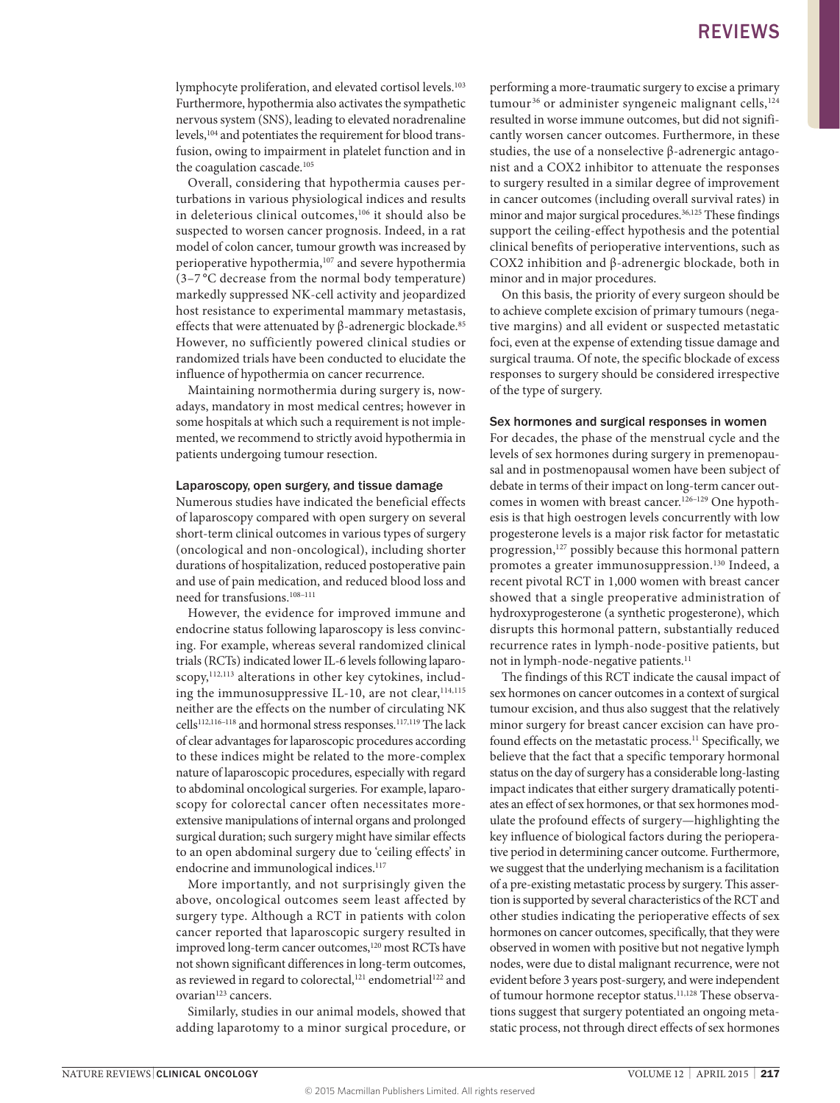lymphocyte proliferation, and elevated cortisol levels.103 Furthermore, hypothermia also activates the sympathetic nervous system (SNS), leading to elevated noradrenaline levels,104 and potentiates the requirement for blood transfusion, owing to impairment in platelet function and in the coagulation cascade.<sup>105</sup>

Overall, considering that hypothermia causes perturbations in various physiological indices and results in deleterious clinical outcomes,<sup>106</sup> it should also be suspected to worsen cancer prognosis. Indeed, in a rat model of colon cancer, tumour growth was increased by perioperative hypothermia,<sup>107</sup> and severe hypothermia (3–7 °C decrease from the normal body temperature) markedly suppressed NK-cell activity and jeopardized host resistance to experimental mammary metastasis, effects that were attenuated by β-adrenergic blockade.<sup>85</sup> However, no sufficiently powered clinical studies or randomized trials have been conducted to elucidate the influence of hypothermia on cancer recurrence.

Maintaining normothermia during surgery is, nowadays, mandatory in most medical centres; however in some hospitals at which such a requirement is not implemented, we recommend to strictly avoid hypothermia in patients undergoing tumour resection.

#### Laparoscopy, open surgery, and tissue damage

Numerous studies have indicated the beneficial effects of laparoscopy compared with open surgery on several short-term clinical outcomes in various types of surgery (oncological and non-oncological), including shorter durations of hospitalization, reduced postoperative pain and use of pain medication, and reduced blood loss and need for transfusions.108–111

However, the evidence for improved immune and endocrine status following laparoscopy is less convincing. For example, whereas several randomized clinical trials (RCTs) indicated lower IL-6 levels following laparoscopy,<sup>112,113</sup> alterations in other key cytokines, including the immunosuppressive IL-10, are not clear, 114,115 neither are the effects on the number of circulating NK cells<sup>112,116-118</sup> and hormonal stress responses.<sup>117,119</sup> The lack of clear advantages for laparoscopic procedures according to these indices might be related to the more-complex nature of laparoscopic procedures, especially with regard to abdominal oncological surgeries. For example, laparoscopy for colorectal cancer often necessitates more-extensive manipulations of internal organs and prolonged surgical duration; such surgery might have similar effects to an open abdominal surgery due to 'ceiling effects' in endocrine and immunological indices.<sup>117</sup>

More importantly, and not surprisingly given the above, oncological outcomes seem least affected by surgery type. Although a RCT in patients with colon cancer reported that laparoscopic surgery resulted in improved long-term cancer outcomes,<sup>120</sup> most RCTs have not shown significant differences in long-term outcomes, as reviewed in regard to colorectal,<sup>121</sup> endometrial<sup>122</sup> and ovarian<sup>123</sup> cancers.

Similarly, studies in our animal models, showed that adding laparotomy to a minor surgical procedure, or performing a more-traumatic surgery to excise a primary tumour<sup>36</sup> or administer syngeneic malignant cells,<sup>124</sup> resulted in worse immune outcomes, but did not significantly worsen cancer outcomes. Furthermore, in these studies, the use of a nonselective  $\beta$ -adrenergic antagonist and a COX2 inhibitor to attenuate the responses to surgery resulted in a similar degree of improvement in cancer outcomes (including overall survival rates) in minor and major surgical procedures.36,125 These findings support the ceiling-effect hypothesis and the potential clinical benefits of perioperative interventions, such as COX2 inhibition and  $β$ -adrenergic blockade, both in minor and in major procedures.

On this basis, the priority of every surgeon should be to achieve complete excision of primary tumours (negative margins) and all evident or suspected metastatic foci, even at the expense of extending tissue damage and surgical trauma. Of note, the specific blockade of excess responses to surgery should be considered irrespective of the type of surgery.

### Sex hormones and surgical responses in women

For decades, the phase of the menstrual cycle and the levels of sex hormones during surgery in premenopausal and in postmenopausal women have been subject of debate in terms of their impact on long-term cancer outcomes in women with breast cancer.<sup>126-129</sup> One hypothesis is that high oestrogen levels concurrently with low progesterone levels is a major risk factor for metastatic progression,<sup>127</sup> possibly because this hormonal pattern promotes a greater immunosuppression.<sup>130</sup> Indeed, a recent pivotal RCT in 1,000 women with breast cancer showed that a single preoperative administration of hydroxyprogesterone (a synthetic progesterone), which disrupts this hormonal pattern, substantially reduced recurrence rates in lymph-node-positive patients, but not in lymph-node-negative patients.<sup>11</sup>

The findings of this RCT indicate the causal impact of sex hormones on cancer outcomes in a context of surgical tumour excision, and thus also suggest that the relatively minor surgery for breast cancer excision can have profound effects on the metastatic process.<sup>11</sup> Specifically, we believe that the fact that a specific temporary hormonal status on the day of surgery has a considerable long-lasting impact indicates that either surgery dramatically potentiates an effect of sex hormones, or that sex hormones modulate the profound effects of surgery—highlighting the key influence of biological factors during the perioperative period in determining cancer outcome. Furthermore, we suggest that the underlying mechanism is a facilitation of a pre-existing metastatic process by surgery. This assertion is supported by several characteristics of the RCT and other studies indicating the perioperative effects of sex hormones on cancer outcomes, specifically, that they were observed in women with positive but not negative lymph nodes, were due to distal malignant recurrence, were not evident before 3 years post-surgery, and were independent of tumour hormone receptor status.11,128 These observations suggest that surgery potentiated an ongoing metastatic process, not through direct effects of sex hormones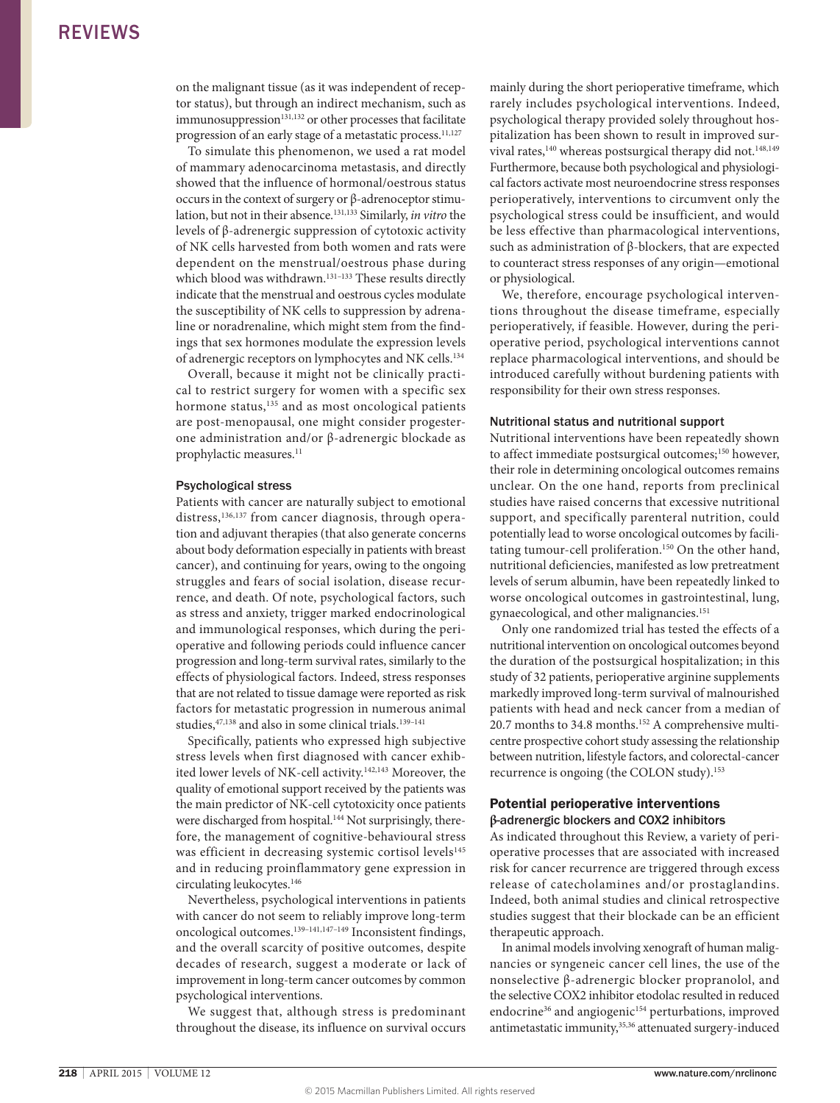on the malignant tissue (as it was independent of receptor status), but through an indirect mechanism, such as  $immunosuppression<sup>131,132</sup>$  or other processes that facilitate progression of an early stage of a metastatic process.<sup>11,127</sup>

To simulate this phenomenon, we used a rat model of mammary adenocarcinoma metastasis, and directly showed that the influence of hormonal/oestrous status occurs in the context of surgery or  $β$ -adrenoceptor stimulation, but not in their absence.131,133 Similarly, *in vitro* the levels of  $β$ -adrenergic suppression of cytotoxic activity of NK cells harvested from both women and rats were dependent on the menstrual/oestrous phase during which blood was withdrawn.<sup>131-133</sup> These results directly indicate that the menstrual and oestrous cycles modulate the susceptibility of NK cells to suppression by adrenaline or noradrenaline, which might stem from the findings that sex hormones modulate the expression levels of adrenergic receptors on lymphocytes and NK cells.134

Overall, because it might not be clinically practical to restrict surgery for women with a specific sex hormone status,<sup>135</sup> and as most oncological patients are post-menopausal, one might consider progesterone administration and/or β-adrenergic blockade as prophylactic measures.<sup>11</sup>

#### Psychological stress

Patients with cancer are naturally subject to emotional distress,<sup>136,137</sup> from cancer diagnosis, through operation and adjuvant therapies (that also generate concerns about body deformation especially in patients with breast cancer), and continuing for years, owing to the ongoing struggles and fears of social isolation, disease recurrence, and death. Of note, psychological factors, such as stress and anxiety, trigger marked endocrinological and immunological responses, which during the perioperative and following periods could influence cancer progression and long-term survival rates, similarly to the effects of physiological factors. Indeed, stress responses that are not related to tissue damage were reported as risk factors for metastatic progression in numerous animal studies, <sup>47,138</sup> and also in some clinical trials.<sup>139-141</sup>

Specifically, patients who expressed high subjective stress levels when first diagnosed with cancer exhibited lower levels of NK-cell activity.<sup>142,143</sup> Moreover, the quality of emotional support received by the patients was the main predictor of NK-cell cytotoxicity once patients were discharged from hospital.<sup>144</sup> Not surprisingly, therefore, the management of cognitive-behavioural stress was efficient in decreasing systemic cortisol levels<sup>145</sup> and in reducing proinflammatory gene expression in circulating leukocytes.<sup>146</sup>

Nevertheless, psychological interventions in patients with cancer do not seem to reliably improve long-term oncological outcomes.139–141,147–149 Inconsistent findings, and the overall scarcity of positive outcomes, despite decades of research, suggest a moderate or lack of improvement in long-term cancer outcomes by common psychological interventions.

We suggest that, although stress is predominant throughout the disease, its influence on survival occurs mainly during the short perioperative timeframe, which rarely includes psychological interventions. Indeed, psychological therapy provided solely throughout hospitalization has been shown to result in improved survival rates,<sup>140</sup> whereas postsurgical therapy did not.<sup>148,149</sup> Furthermore, because both psychological and physiological factors activate most neuroendocrine stress responses perioperatively, interventions to circumvent only the psychological stress could be insufficient, and would be less effective than pharmacological interventions, such as administration of  $β$ -blockers, that are expected to counteract stress responses of any origin—emotional or physiological.

We, therefore, encourage psychological interventions throughout the disease timeframe, especially perioperatively, if feasible. However, during the perioperative period, psychological interventions cannot replace pharmacological interventions, and should be introduced carefully without burdening patients with responsibility for their own stress responses.

### Nutritional status and nutritional support

Nutritional interventions have been repeatedly shown to affect immediate postsurgical outcomes;<sup>150</sup> however, their role in determining oncological outcomes remains unclear. On the one hand, reports from preclinical studies have raised concerns that excessive nutritional support, and specifically parenteral nutrition, could potentially lead to worse oncological outcomes by facilitating tumour-cell proliferation.<sup>150</sup> On the other hand, nutritional deficiencies, manifested as low pretreatment levels of serum albumin, have been repeatedly linked to worse oncological outcomes in gastrointestinal, lung, gynaecological, and other malignancies.<sup>151</sup>

Only one randomized trial has tested the effects of a nutritional intervention on oncological outcomes beyond the duration of the postsurgical hospitalization; in this study of 32 patients, perioperative arginine supplements markedly improved long-term survival of malnourished patients with head and neck cancer from a median of 20.7 months to 34.8 months.152 A comprehensive multicentre prospective cohort study assessing the relationship between nutrition, lifestyle factors, and colorectal-cancer recurrence is ongoing (the COLON study).153

### Potential perioperative interventions **β**‑adrenergic blockers and COX2 inhibitors

As indicated throughout this Review, a variety of perioperative processes that are associated with increased risk for cancer recurrence are triggered through excess release of catecholamines and/or prostaglandins. Indeed, both animal studies and clinical retrospective studies suggest that their blockade can be an efficient therapeutic approach.

In animal models involving xenograft of human malignancies or syngeneic cancer cell lines, the use of the nonselective β-adrenergic blocker propranolol, and the selective COX2 inhibitor etodolac resulted in reduced endocrine<sup>36</sup> and angiogenic<sup>154</sup> perturbations, improved antimetastatic immunity,35,36 attenuated surgery-induced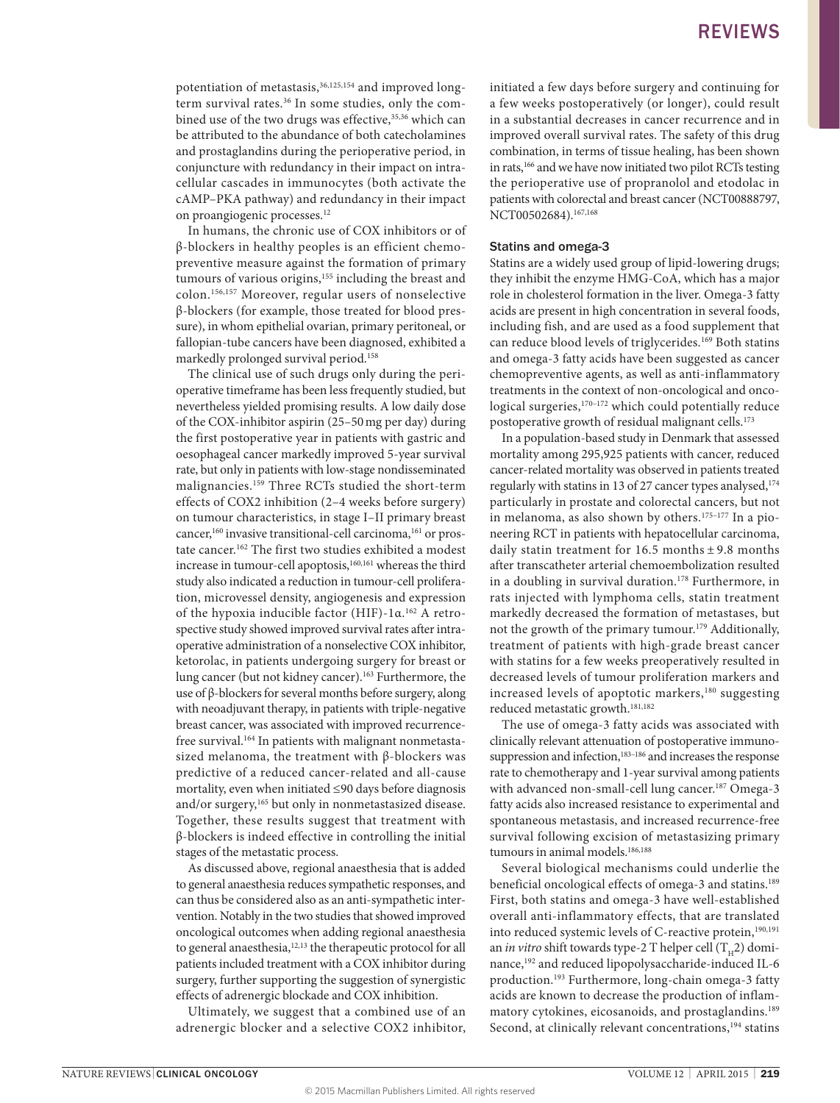potentiation of metastasis,<sup>36,125,154</sup> and improved longterm survival rates.<sup>36</sup> In some studies, only the combined use of the two drugs was effective, 35,36 which can be attributed to the abundance of both catecholamines and prostaglandins during the perioperative period, in conjuncture with redundancy in their impact on intracellular cascades in immunocytes (both activate the cAMP–PKA pathway) and redundancy in their impact on proangiogenic processes.12

In humans, the chronic use of COX inhibitors or of βblockers in healthy peoples is an efficient chemopreventive measure against the formation of primary tumours of various origins,<sup>155</sup> including the breast and colon.156,157 Moreover, regular users of nonselective βblockers (for example, those treated for blood pressure), in whom epithelial ovarian, primary peritoneal, or fallopian-tube cancers have been diagnosed, exhibited a markedly prolonged survival period.158

The clinical use of such drugs only during the perioperative timeframe has been less frequently studied, but nevertheless yielded promising results. A low daily dose of the COX-inhibitor aspirin (25–50mg per day) during the first postoperative year in patients with gastric and oesophageal cancer markedly improved 5-year survival rate, but only in patients with low-stage nondisseminated malignancies.159 Three RCTs studied the short-term effects of COX2 inhibition (2–4 weeks before surgery) on tumour characteristics, in stage I–II primary breast cancer,<sup>160</sup> invasive transitional-cell carcinoma,<sup>161</sup> or prostate cancer.<sup>162</sup> The first two studies exhibited a modest increase in tumour-cell apoptosis,<sup>160,161</sup> whereas the third study also indicated a reduction in tumour-cell proliferation, microvessel density, angiogenesis and expression of the hypoxia inducible factor (HIF)-1α.<sup>162</sup> A retrospective study showed improved survival rates after intraoperative administration of a nonselective COX inhibitor, ketorolac, in patients undergoing surgery for breast or lung cancer (but not kidney cancer).<sup>163</sup> Furthermore, the use of β-blockers for several months before surgery, along with neoadjuvant therapy, in patients with triple-negative breast cancer, was associated with improved recurrencefree survival.<sup>164</sup> In patients with malignant nonmetastasized melanoma, the treatment with  $\beta$ -blockers was predictive of a reduced cancer-related and all-cause mortality, even when initiated ≤90 days before diagnosis and/or surgery,<sup>165</sup> but only in nonmetastasized disease. Together, these results suggest that treatment with  $β$ -blockers is indeed effective in controlling the initial stages of the metastatic process.

As discussed above, regional anaesthesia that is added to general anaesthesia reduces sympathetic responses, and can thus be considered also as an anti-sympathetic intervention. Notably in the two studies that showed improved oncological outcomes when adding regional anaesthesia to general anaesthesia,<sup>12,13</sup> the therapeutic protocol for all patients included treatment with a COX inhibitor during surgery, further supporting the suggestion of synergistic effects of adrenergic blockade and COX inhibition.

Ultimately, we suggest that a combined use of an adrenergic blocker and a selective COX2 inhibitor, initiated a few days before surgery and continuing for a few weeks postoperatively (or longer), could result in a substantial decreases in cancer recurrence and in improved overall survival rates. The safety of this drug combination, in terms of tissue healing, has been shown in rats,<sup>166</sup> and we have now initiated two pilot RCTs testing the perioperative use of propranolol and etodolac in patients with colorectal and breast cancer (NCT00888797, NCT00502684).167,168

### Statins and omega-3

Statins are a widely used group of lipid-lowering drugs; they inhibit the enzyme HMG-CoA, which has a major role in cholesterol formation in the liver. Omega-3 fatty acids are present in high concentration in several foods, including fish, and are used as a food supplement that can reduce blood levels of triglycerides.<sup>169</sup> Both statins and omega-3 fatty acids have been suggested as cancer chemopreventive agents, as well as anti-inflammatory treatments in the context of non-oncological and oncological surgeries,<sup>170-172</sup> which could potentially reduce postoperative growth of residual malignant cells.<sup>173</sup>

In a population-based study in Denmark that assessed mortality among 295,925 patients with cancer, reduced cancer-related mortality was observed in patients treated regularly with statins in 13 of 27 cancer types analysed,<sup>174</sup> particularly in prostate and colorectal cancers, but not in melanoma, as also shown by others.175–177 In a pioneering RCT in patients with hepatocellular carcinoma, daily statin treatment for  $16.5$  months  $\pm$  9.8 months after transcatheter arterial chemoembolization resulted in a doubling in survival duration.<sup>178</sup> Furthermore, in rats injected with lymphoma cells, statin treatment markedly decreased the formation of metastases, but not the growth of the primary tumour.179 Additionally, treatment of patients with high-grade breast cancer with statins for a few weeks preoperatively resulted in decreased levels of tumour proliferation markers and increased levels of apoptotic markers,<sup>180</sup> suggesting reduced metastatic growth.181,182

The use of omega-3 fatty acids was associated with clinically relevant attenuation of postoperative immunosuppression and infection,<sup>183-186</sup> and increases the response rate to chemotherapy and 1-year survival among patients with advanced non-small-cell lung cancer.<sup>187</sup> Omega-3 fatty acids also increased resistance to experimental and spontaneous metastasis, and increased recurrence-free survival following excision of metastasizing primary tumours in animal models.<sup>186,188</sup>

Several biological mechanisms could underlie the beneficial oncological effects of omega-3 and statins.<sup>189</sup> First, both statins and omega-3 have well-established overall anti-inflammatory effects, that are translated into reduced systemic levels of C-reactive protein,<sup>190,191</sup> an *in vitro* shift towards type-2 T helper cell  $(T_H^2)$  dominance,<sup>192</sup> and reduced lipopolysaccharide-induced IL-6 production.<sup>193</sup> Furthermore, long-chain omega-3 fatty acids are known to decrease the production of inflammatory cytokines, eicosanoids, and prostaglandins.<sup>189</sup> Second, at clinically relevant concentrations,<sup>194</sup> statins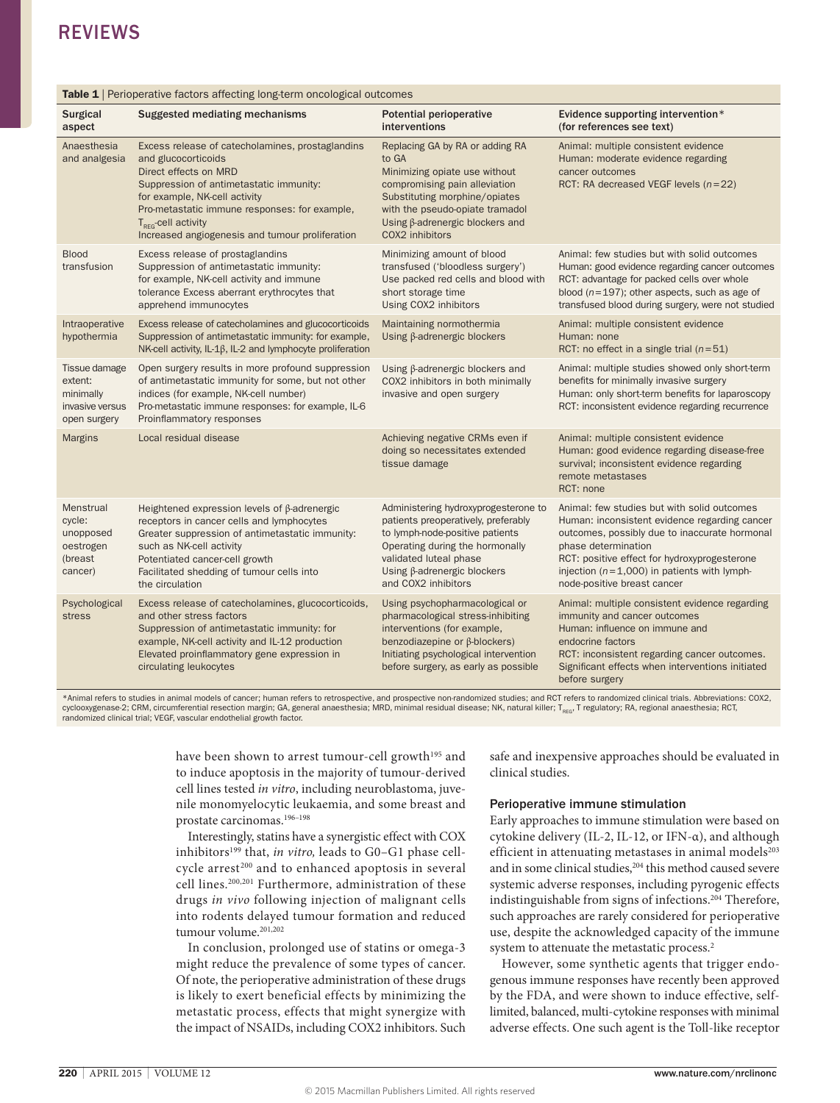| <b>Table 1</b> Perioperative factors affecting long-term oncological outcomes |                                                                                                                                                                                                                                                                                                                     |                                                                                                                                                                                                                                             |                                                                                                                                                                                                                                                                                                          |  |  |  |
|-------------------------------------------------------------------------------|---------------------------------------------------------------------------------------------------------------------------------------------------------------------------------------------------------------------------------------------------------------------------------------------------------------------|---------------------------------------------------------------------------------------------------------------------------------------------------------------------------------------------------------------------------------------------|----------------------------------------------------------------------------------------------------------------------------------------------------------------------------------------------------------------------------------------------------------------------------------------------------------|--|--|--|
| <b>Surgical</b><br>aspect                                                     | Suggested mediating mechanisms                                                                                                                                                                                                                                                                                      | <b>Potential perioperative</b><br>interventions                                                                                                                                                                                             | Evidence supporting intervention*<br>(for references see text)                                                                                                                                                                                                                                           |  |  |  |
| Anaesthesia<br>and analgesia                                                  | Excess release of catecholamines, prostaglandins<br>and glucocorticoids<br>Direct effects on MRD<br>Suppression of antimetastatic immunity:<br>for example, NK-cell activity<br>Pro-metastatic immune responses: for example,<br>$T_{\text{rec}}$ -cell activity<br>Increased angiogenesis and tumour proliferation | Replacing GA by RA or adding RA<br>to GA<br>Minimizing opiate use without<br>compromising pain alleviation<br>Substituting morphine/opiates<br>with the pseudo-opiate tramadol<br>Using $\beta$ -adrenergic blockers and<br>COX2 inhibitors | Animal: multiple consistent evidence<br>Human: moderate evidence regarding<br>cancer outcomes<br>RCT: RA decreased VEGF levels $(n=22)$                                                                                                                                                                  |  |  |  |
| <b>Blood</b><br>transfusion                                                   | Excess release of prostaglandins<br>Suppression of antimetastatic immunity:<br>for example, NK-cell activity and immune<br>tolerance Excess aberrant erythrocytes that<br>apprehend immunocytes                                                                                                                     | Minimizing amount of blood<br>transfused ('bloodless surgery')<br>Use packed red cells and blood with<br>short storage time<br>Using COX2 inhibitors                                                                                        | Animal: few studies but with solid outcomes<br>Human: good evidence regarding cancer outcomes<br>RCT: advantage for packed cells over whole<br>blood ( $n=197$ ); other aspects, such as age of<br>transfused blood during surgery, were not studied                                                     |  |  |  |
| Intraoperative<br>hypothermia                                                 | Excess release of catecholamines and glucocorticoids<br>Suppression of antimetastatic immunity: for example,<br>$NK$ -cell activity, IL-1 $\beta$ , IL-2 and lymphocyte proliferation                                                                                                                               | Maintaining normothermia<br>Using $\beta$ -adrenergic blockers                                                                                                                                                                              | Animal: multiple consistent evidence<br>Human: none<br>RCT: no effect in a single trial $(n=51)$                                                                                                                                                                                                         |  |  |  |
| Tissue damage<br>extent:<br>minimally<br>invasive versus<br>open surgery      | Open surgery results in more profound suppression<br>of antimetastatic immunity for some, but not other<br>indices (for example, NK-cell number)<br>Pro-metastatic immune responses: for example, IL-6<br>Proinflammatory responses                                                                                 | Using $\beta$ -adrenergic blockers and<br>COX2 inhibitors in both minimally<br>invasive and open surgery                                                                                                                                    | Animal: multiple studies showed only short-term<br>benefits for minimally invasive surgery<br>Human: only short-term benefits for laparoscopy<br>RCT: inconsistent evidence regarding recurrence                                                                                                         |  |  |  |
| <b>Margins</b>                                                                | Local residual disease                                                                                                                                                                                                                                                                                              | Achieving negative CRMs even if<br>doing so necessitates extended<br>tissue damage                                                                                                                                                          | Animal: multiple consistent evidence<br>Human: good evidence regarding disease-free<br>survival; inconsistent evidence regarding<br>remote metastases<br>RCT: none                                                                                                                                       |  |  |  |
| Menstrual<br>cycle:<br>unopposed<br>oestrogen<br>(breast<br>cancer)           | Heightened expression levels of $\beta$ -adrenergic<br>receptors in cancer cells and lymphocytes<br>Greater suppression of antimetastatic immunity:<br>such as NK-cell activity<br>Potentiated cancer-cell growth<br>Facilitated shedding of tumour cells into<br>the circulation                                   | Administering hydroxyprogesterone to<br>patients preoperatively, preferably<br>to lymph-node-positive patients<br>Operating during the hormonally<br>validated luteal phase<br>Using ß-adrenergic blockers<br>and COX2 inhibitors           | Animal: few studies but with solid outcomes<br>Human: inconsistent evidence regarding cancer<br>outcomes, possibly due to inaccurate hormonal<br>phase determination<br>RCT: positive effect for hydroxyprogesterone<br>injection ( $n = 1,000$ ) in patients with lymph-<br>node-positive breast cancer |  |  |  |
| Psychological<br>stress                                                       | Excess release of catecholamines, glucocorticoids,<br>and other stress factors<br>Suppression of antimetastatic immunity: for<br>example, NK-cell activity and IL-12 production<br>Elevated proinflammatory gene expression in<br>circulating leukocytes                                                            | Using psychopharmacological or<br>pharmacological stress-inhibiting<br>interventions (for example,<br>benzodiazepine or β-blockers)<br>Initiating psychological intervention<br>before surgery, as early as possible                        | Animal: multiple consistent evidence regarding<br>immunity and cancer outcomes<br>Human: influence on immune and<br>endocrine factors<br>RCT: inconsistent regarding cancer outcomes.<br>Significant effects when interventions initiated<br>before surgery                                              |  |  |  |

\*Animal refers to studies in animal models of cancer; human refers to retrospective, and prospective non-randomized studies; and RCT refers to randomized clinical trials. Abbreviations: COX2, cyclooxygenase-2; CRM, circumferential resection margin; GA, general anaesthesia; MRD, minimal residual disease; NK, natural killer; T<sub>reco</sub>, T regulatory; RA, regional anaesthesia; RCT,<br>randomized clinical trial; VEGF, va

> have been shown to arrest tumour-cell growth<sup>195</sup> and to induce apoptosis in the majority of tumour-derived cell lines tested *in vitro*, including neuroblastoma, juvenile monomyelocytic leukaemia, and some breast and prostate carcinomas.196–198

> Interestingly, statins have a synergistic effect with COX inhibitors<sup>199</sup> that, *in vitro*, leads to G0-G1 phase cellcycle arrest<sup>200</sup> and to enhanced apoptosis in several cell lines.200,201 Furthermore, administration of these drugs *in vivo* following injection of malignant cells into rodents delayed tumour formation and reduced tumour volume.<sup>201,202</sup>

> In conclusion, prolonged use of statins or omega-3 might reduce the prevalence of some types of cancer. Of note, the perioperative administration of these drugs is likely to exert beneficial effects by minimizing the metastatic process, effects that might synergize with the impact of NSAIDs, including COX2 inhibitors. Such

safe and inexpensive approaches should be evaluated in clinical studies.

### Perioperative immune stimulation

Early approaches to immune stimulation were based on cytokine delivery (IL-2, IL-12, or IFN- $\alpha$ ), and although efficient in attenuating metastases in animal models $203$ and in some clinical studies,<sup>204</sup> this method caused severe systemic adverse responses, including pyrogenic effects indistinguishable from signs of infections.204 Therefore, such approaches are rarely considered for perioperative use, despite the acknowledged capacity of the immune system to attenuate the metastatic process.<sup>2</sup>

However, some synthetic agents that trigger endogenous immune responses have recently been approved by the FDA, and were shown to induce effective, self-limited, balanced, multi-cytokine responses with minimal adverse effects. One such agent is the Toll-like receptor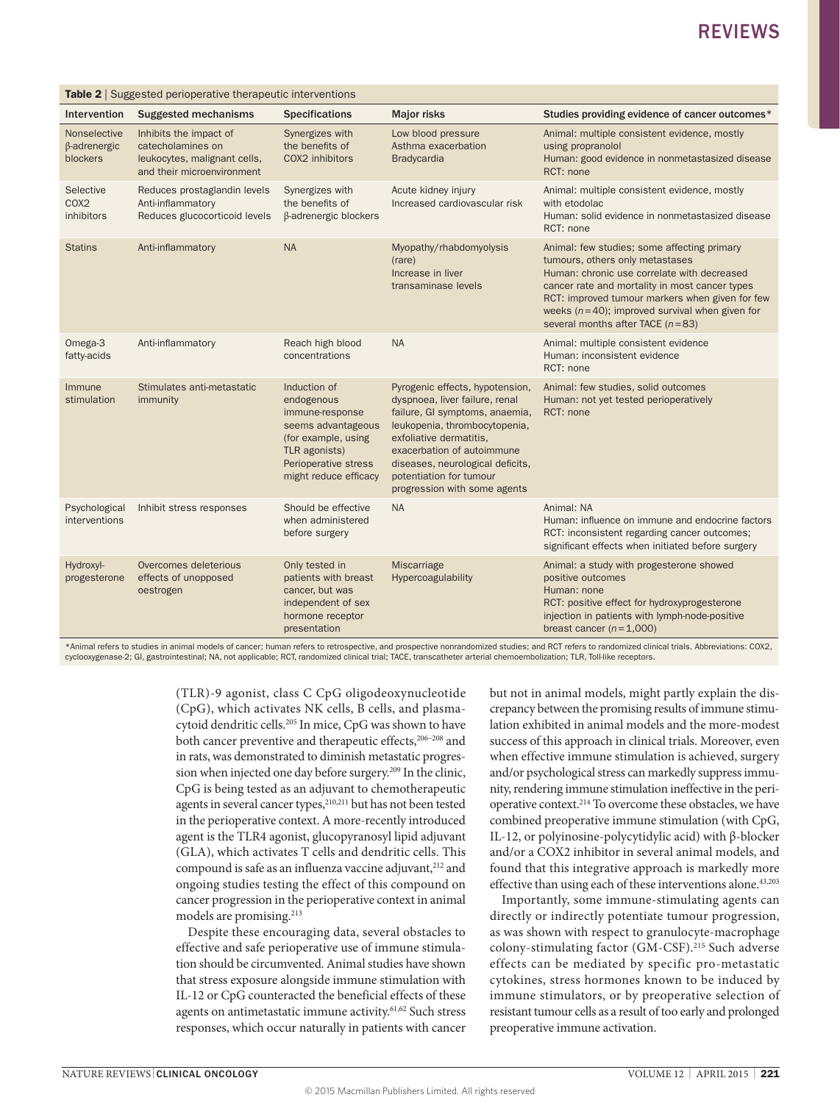| <b>Table 2</b> Suggested perioperative therapeutic interventions |                                                                                                           |                                                                                                                                                              |                                                                                                                                                                                                                                                                                              |                                                                                                                                                                                                                                                                                                                               |  |  |  |
|------------------------------------------------------------------|-----------------------------------------------------------------------------------------------------------|--------------------------------------------------------------------------------------------------------------------------------------------------------------|----------------------------------------------------------------------------------------------------------------------------------------------------------------------------------------------------------------------------------------------------------------------------------------------|-------------------------------------------------------------------------------------------------------------------------------------------------------------------------------------------------------------------------------------------------------------------------------------------------------------------------------|--|--|--|
| Intervention                                                     | Suggested mechanisms                                                                                      | <b>Specifications</b>                                                                                                                                        | <b>Major risks</b>                                                                                                                                                                                                                                                                           | Studies providing evidence of cancer outcomes*                                                                                                                                                                                                                                                                                |  |  |  |
| Nonselective<br>$\beta$ -adrenergic<br>blockers                  | Inhibits the impact of<br>catecholamines on<br>leukocytes, malignant cells,<br>and their microenvironment | Synergizes with<br>the benefits of<br>COX2 inhibitors                                                                                                        | Low blood pressure<br>Asthma exacerbation<br><b>Bradycardia</b>                                                                                                                                                                                                                              | Animal: multiple consistent evidence, mostly<br>using propranolol<br>Human: good evidence in nonmetastasized disease<br>RCT: none                                                                                                                                                                                             |  |  |  |
| Selective<br>COX <sub>2</sub><br>inhibitors                      | Reduces prostaglandin levels<br>Anti-inflammatory<br>Reduces glucocorticoid levels                        | Synergizes with<br>the benefits of<br>β-adrenergic blockers                                                                                                  | Acute kidney injury<br>Increased cardiovascular risk                                                                                                                                                                                                                                         | Animal: multiple consistent evidence, mostly<br>with etodolac<br>Human: solid evidence in nonmetastasized disease<br>RCT: none                                                                                                                                                                                                |  |  |  |
| <b>Statins</b>                                                   | Anti-inflammatory                                                                                         | <b>NA</b>                                                                                                                                                    | Myopathy/rhabdomyolysis<br>$(\text{rare})$<br>Increase in liver<br>transaminase levels                                                                                                                                                                                                       | Animal: few studies; some affecting primary<br>tumours, others only metastases<br>Human: chronic use correlate with decreased<br>cancer rate and mortality in most cancer types<br>RCT: improved tumour markers when given for few<br>weeks $(n=40)$ ; improved survival when given for<br>several months after TACE $(n=83)$ |  |  |  |
| Omega-3<br>fatty-acids                                           | Anti-inflammatory                                                                                         | Reach high blood<br>concentrations                                                                                                                           | <b>NA</b>                                                                                                                                                                                                                                                                                    | Animal: multiple consistent evidence<br>Human: inconsistent evidence<br>RCT: none                                                                                                                                                                                                                                             |  |  |  |
| Immune<br>stimulation                                            | Stimulates anti-metastatic<br>immunity                                                                    | Induction of<br>endogenous<br>immune-response<br>seems advantageous<br>(for example, using<br>TLR agonists)<br>Perioperative stress<br>might reduce efficacy | Pyrogenic effects, hypotension,<br>dyspnoea, liver failure, renal<br>failure, GI symptoms, anaemia,<br>leukopenia, thrombocytopenia,<br>exfoliative dermatitis,<br>exacerbation of autoimmune<br>diseases, neurological deficits,<br>potentiation for tumour<br>progression with some agents | Animal: few studies, solid outcomes<br>Human: not yet tested perioperatively<br>RCT: none                                                                                                                                                                                                                                     |  |  |  |
| Psychological<br>interventions                                   | Inhibit stress responses                                                                                  | Should be effective<br>when administered<br>before surgery                                                                                                   | <b>NA</b>                                                                                                                                                                                                                                                                                    | Animal: NA<br>Human: influence on immune and endocrine factors<br>RCT: inconsistent regarding cancer outcomes;<br>significant effects when initiated before surgery                                                                                                                                                           |  |  |  |
| Hydroxyl-<br>progesterone                                        | Overcomes deleterious<br>effects of unopposed<br>oestrogen                                                | Only tested in<br>patients with breast<br>cancer, but was<br>independent of sex<br>hormone receptor<br>presentation                                          | Miscarriage<br>Hypercoagulability                                                                                                                                                                                                                                                            | Animal: a study with progesterone showed<br>positive outcomes<br>Human: none<br>RCT: positive effect for hydroxyprogesterone<br>injection in patients with lymph-node-positive<br>breast cancer $(n=1,000)$                                                                                                                   |  |  |  |

\*Animal refers to studies in animal models of cancer; human refers to retrospective, and prospective nonrandomized studies; and RCT refers to randomized clinical trials. Abbreviations: COX2, cyclooxygenase-2; GI, gastrointestinal; NA, not applicable; RCT, randomized clinical trial; TACE, transcatheter arterial chemoembolization; TLR, Toll-like receptors.

> (TLR)-9 agonist, class C CpG oligodeoxynucleotide (CpG), which activates NK cells, B cells, and plasmacytoid dendritic cells.<sup>205</sup> In mice, CpG was shown to have both cancer preventive and therapeutic effects,<sup>206-208</sup> and in rats, was demonstrated to diminish metastatic progression when injected one day before surgery.<sup>209</sup> In the clinic, CpG is being tested as an adjuvant to chemotherapeutic agents in several cancer types,<sup>210,211</sup> but has not been tested in the perioperative context. A more-recently introduced agent is the TLR4 agonist, glucopyranosyl lipid adjuvant (GLA), which activates T cells and dendritic cells. This compound is safe as an influenza vaccine adjuvant,<sup>212</sup> and ongoing studies testing the effect of this compound on cancer progression in the perioperative context in animal models are promising.213

> Despite these encouraging data, several obstacles to effective and safe perioperative use of immune stimulation should be circumvented. Animal studies have shown that stress exposure alongside immune stimulation with IL-12 or CpG counteracted the beneficial effects of these agents on antimetastatic immune activity.<sup>61,62</sup> Such stress responses, which occur naturally in patients with cancer

but not in animal models, might partly explain the discrepancy between the promising results of immune stimulation exhibited in animal models and the more-modest success of this approach in clinical trials. Moreover, even when effective immune stimulation is achieved, surgery and/or psychological stress can markedly suppress immunity, rendering immune stimulation ineffective in the perioperative context.214 To overcome these obstacles, we have combined preoperative immune stimulation (with CpG, IL-12, or polyinosine-polycytidylic acid) with β-blocker and/or a COX2 inhibitor in several animal models, and found that this integrative approach is markedly more effective than using each of these interventions alone.<sup>43,203</sup>

Importantly, some immune-stimulating agents can directly or indirectly potentiate tumour progression, as was shown with respect to granulocyte-macrophage colony-stimulating factor (GM-CSF).<sup>215</sup> Such adverse effects can be mediated by specific pro-metastatic cytokines, stress hormones known to be induced by immune stimulators, or by preoperative selection of resistant tumour cells as a result of too early and prolonged preoperative immune activation.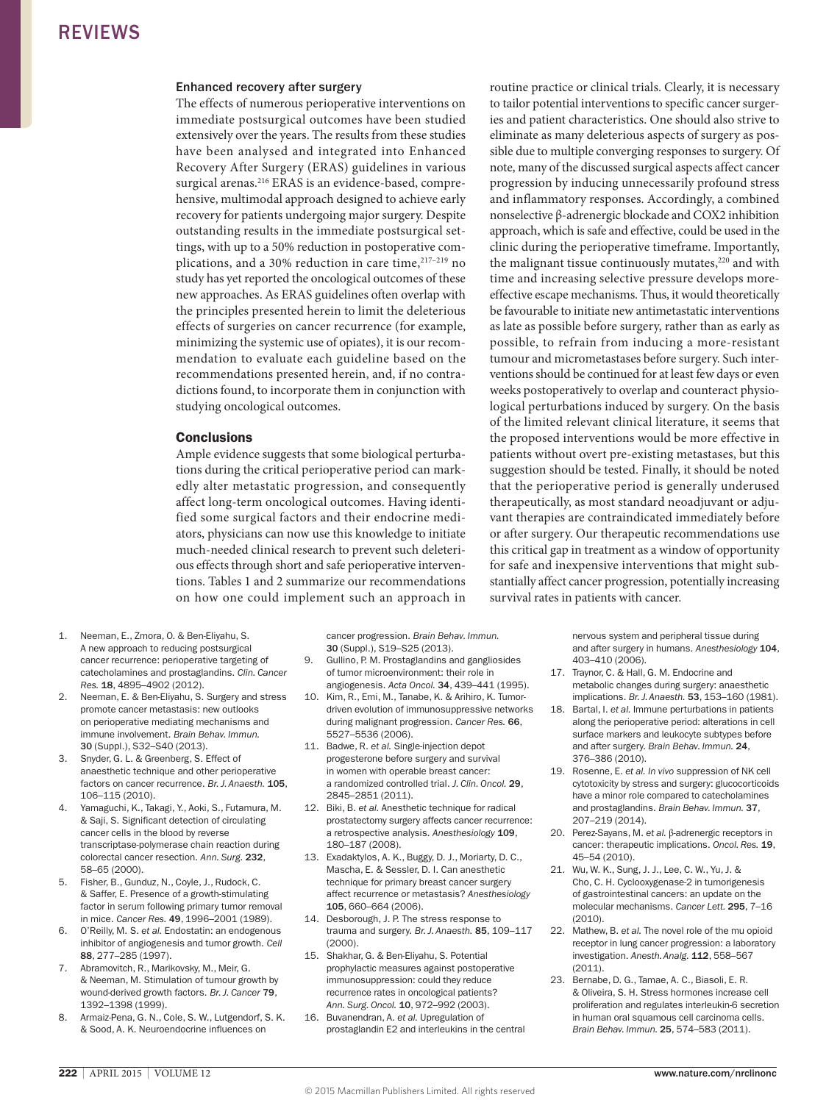### Enhanced recovery after surgery

The effects of numerous perioperative interventions on immediate postsurgical outcomes have been studied extensively over the years. The results from these studies have been analysed and integrated into Enhanced Recovery After Surgery (ERAS) guidelines in various surgical arenas.<sup>216</sup> ERAS is an evidence-based, comprehensive, multimodal approach designed to achieve early recovery for patients undergoing major surgery. Despite outstanding results in the immediate postsurgical settings, with up to a 50% reduction in postoperative complications, and a 30% reduction in care time, $217-219$  no study has yet reported the oncological outcomes of these new approaches. As ERAS guidelines often overlap with the principles presented herein to limit the deleterious effects of surgeries on cancer recurrence (for example, minimizing the systemic use of opiates), it is our recommendation to evaluate each guideline based on the recommendations presented herein, and, if no contradictions found, to incorporate them in conjunction with studying oncological outcomes.

### **Conclusions**

Ample evidence suggests that some biological perturbations during the critical perioperative period can markedly alter metastatic progression, and consequently affect long-term oncological outcomes. Having identified some surgical factors and their endocrine mediators, physicians can now use this knowledge to initiate much-needed clinical research to prevent such deleterious effects through short and safe perioperative interventions. Tables 1 and 2 summarize our recommendations on how one could implement such an approach in

- 1. Neeman, E., Zmora, O. & Ben-Eliyahu, S. A new approach to reducing postsurgical cancer recurrence: perioperative targeting of catecholamines and prostaglandins. *Clin. Cancer Res.* 18, 4895–4902 (2012).
- 2. Neeman, E. & Ben-Eliyahu, S. Surgery and stress promote cancer metastasis: new outlooks on perioperative mediating mechanisms and immune involvement. *Brain Behav. Immun.* 30 (Suppl.), S32–S40 (2013).
- 3. Snyder, G. L. & Greenberg, S. Effect of anaesthetic technique and other perioperative factors on cancer recurrence. *Br. J. Anaesth.* 105, 106–115 (2010).
- 4. Yamaguchi, K., Takagi, Y., Aoki, S., Futamura, M. & Saji, S. Significant detection of circulating cancer cells in the blood by reverse transcriptase-polymerase chain reaction during colorectal cancer resection. *Ann. Surg.* 232, 58–65 (2000).
- 5. Fisher, B., Gunduz, N., Coyle, J., Rudock, C. & Saffer, E. Presence of a growth-stimulating factor in serum following primary tumor removal in mice. *Cancer Res.* 49, 1996–2001 (1989).
- 6. O'Reilly, M. S. *et al.* Endostatin: an endogenous inhibitor of angiogenesis and tumor growth. *Cell* 88, 277–285 (1997).
- 7. Abramovitch, R., Marikovsky, M., Meir, G. & Neeman, M. Stimulation of tumour growth by wound-derived growth factors. *Br. J. Cancer* 79, 1392–1398 (1999).
- 8. Armaiz-Pena, G. N., Cole, S. W., Lutgendorf, S. K. & Sood, A. K. Neuroendocrine influences on

cancer progression. *Brain Behav. Immun.* 30 (Suppl.), S19–S25 (2013).

- 9. Gullino, P. M. Prostaglandins and gangliosides of tumor microenvironment: their role in angiogenesis. *Acta Oncol.* 34, 439–441 (1995).
- 10. Kim, R., Emi, M., Tanabe, K. & Arihiro, K. Tumordriven evolution of immunosuppressive networks during malignant progression. *Cancer Res.* 66, 5527–5536 (2006).
- 11. Badwe, R. *et al.* Single-injection depot progesterone before surgery and survival in women with operable breast cancer: a randomized controlled trial. *J. Clin. Oncol.* 29, 2845–2851 (2011).
- 12. Biki, B. *et al.* Anesthetic technique for radical prostatectomy surgery affects cancer recurrence: a retrospective analysis. *Anesthesiology* 109, 180–187 (2008).
- 13. Exadaktylos, A. K., Buggy, D. J., Moriarty, D. C., Mascha, E. & Sessler, D. I. Can anesthetic technique for primary breast cancer surgery affect recurrence or metastasis? *Anesthesiology* 105, 660–664 (2006).
- 14. Desborough, J. P. The stress response to trauma and surgery. *Br. J. Anaesth.* 85, 109–117 (2000).
- 15. Shakhar, G. & Ben-Eliyahu, S. Potential prophylactic measures against postoperative immunosuppression: could they reduce recurrence rates in oncological patients? *Ann. Surg. Oncol.* 10, 972–992 (2003).
- 16. Buvanendran, A. *et al.* Upregulation of prostaglandin E2 and interleukins in the central

routine practice or clinical trials. Clearly, it is necessary to tailor potential interventions to specific cancer surgeries and patient characteristics. One should also strive to eliminate as many deleterious aspects of surgery as possible due to multiple converging responses to surgery. Of note, many of the discussed surgical aspects affect cancer progression by inducing unnecessarily profound stress and inflammatory responses. Accordingly, a combined nonselective β-adrenergic blockade and COX2 inhibition approach, which is safe and effective, could be used in the clinic during the perioperative timeframe. Importantly, the malignant tissue continuously mutates,<sup>220</sup> and with time and increasing selective pressure develops more-effective escape mechanisms. Thus, it would theoretically be favourable to initiate new antimetastatic interventions as late as possible before surgery, rather than as early as possible, to refrain from inducing a more-resistant tumour and micrometastases before surgery. Such interventions should be continued for at least few days or even weeks postoperatively to overlap and counteract physiological perturbations induced by surgery. On the basis of the limited relevant clinical literature, it seems that the proposed interventions would be more effective in patients without overt pre-existing metastases, but this suggestion should be tested. Finally, it should be noted that the perioperative period is generally underused therapeutically, as most standard neoadjuvant or adjuvant therapies are contraindicated immediately before or after surgery. Our therapeutic recommendations use this critical gap in treatment as a window of opportunity for safe and inexpensive interventions that might substantially affect cancer progression, potentially increasing survival rates in patients with cancer.

> nervous system and peripheral tissue during and after surgery in humans. *Anesthesiology* 104, 403–410 (2006).

- 17. Traynor, C. & Hall, G. M. Endocrine and metabolic changes during surgery: anaesthetic implications. *Br. J. Anaesth.* 53, 153–160 (1981).
- 18. Bartal, I. *et al.* Immune perturbations in patients along the perioperative period: alterations in cell surface markers and leukocyte subtypes before and after surgery. *Brain Behav. Immun.* 24, 376–386 (2010).
- 19. Rosenne, E. *et al. In vivo* suppression of NK cell cytotoxicity by stress and surgery: glucocorticoids have a minor role compared to catecholamines and prostaglandins. *Brain Behav. Immun.* 37, 207–219 (2014).
- 20. Perez-Sayans, M. *et al.* β-adrenergic receptors in cancer: therapeutic implications. *Oncol. Res.* 19, 45–54 (2010).
- 21. Wu, W. K., Sung, J. J., Lee, C. W., Yu, J. & Cho, C. H. Cyclooxygenase-2 in tumorigenesis of gastrointestinal cancers: an update on the molecular mechanisms. *Cancer Lett.* 295, 7–16 (2010).
- 22. Mathew, B. *et al.* The novel role of the mu opioid receptor in lung cancer progression: a laboratory investigation. *Anesth. Analg.* 112, 558–567 (2011).
- 23. Bernabe, D. G., Tamae, A. C., Biasoli, E. R. & Oliveira, S. H. Stress hormones increase cell proliferation and regulates interleukin-6 secretion in human oral squamous cell carcinoma cells. *Brain Behav. Immun.* 25, 574–583 (2011).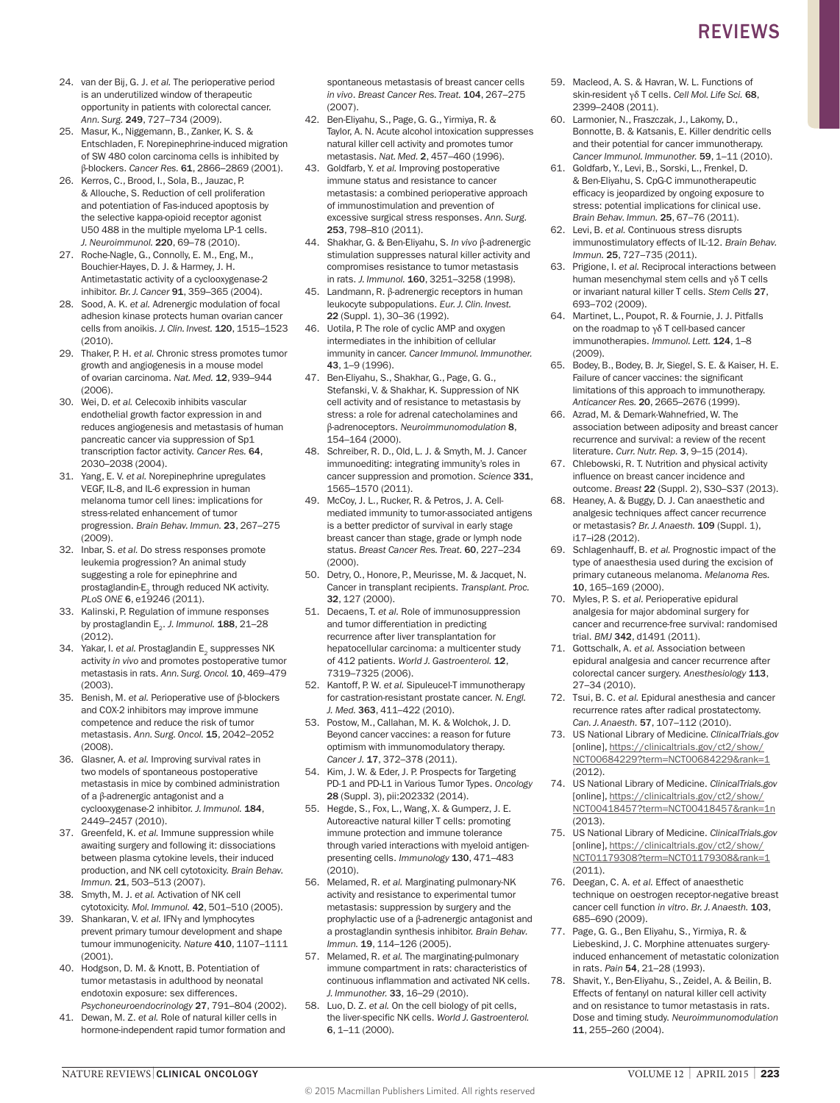- 24. van der Bij, G. J. *et al.* The perioperative period is an underutilized window of therapeutic opportunity in patients with colorectal cancer. *Ann. Surg.* 249, 727–734 (2009).
- 25. Masur, K., Niggemann, B., Zanker, K. S. & Entschladen, F. Norepinephrine-induced migration of SW 480 colon carcinoma cells is inhibited by β-blockers. *Cancer Res.* 61, 2866–2869 (2001).
- 26. Kerros, C., Brood, I., Sola, B., Jauzac, P. & Allouche, S. Reduction of cell proliferation and potentiation of Fas-induced apoptosis by the selective kappa-opioid receptor agonist U50 488 in the multiple myeloma LP-1 cells. *J. Neuroimmunol.* 220, 69–78 (2010).
- 27. Roche-Nagle, G., Connolly, E. M., Eng, M., Bouchier-Hayes, D. J. & Harmey, J. H. Antimetastatic activity of a cyclooxygenase-2 inhibitor. *Br. J. Cancer* 91, 359–365 (2004).
- 28. Sood, A. K. *et al.* Adrenergic modulation of focal adhesion kinase protects human ovarian cancer cells from anoikis. *J. Clin. Invest.* 120, 1515–1523 (2010).
- 29. Thaker, P. H. *et al.* Chronic stress promotes tumor growth and angiogenesis in a mouse model of ovarian carcinoma. *Nat. Med.* 12, 939–944 (2006).
- 30. Wei, D. *et al.* Celecoxib inhibits vascular endothelial growth factor expression in and reduces angiogenesis and metastasis of human pancreatic cancer via suppression of Sp1 transcription factor activity. *Cancer Res.* 64, 2030–2038 (2004).
- 31. Yang, E. V. *et al.* Norepinephrine upregulates VEGF, IL-8, and IL-6 expression in human melanoma tumor cell lines: implications for stress-related enhancement of tumor progression. *Brain Behav. Immun.* 23, 267–275 (2009).
- 32. Inbar, S. *et al.* Do stress responses promote leukemia progression? An animal study suggesting a role for epinephrine and prostaglandin-E<sub>2</sub> through reduced NK activity. *PLoS ONE* 6, e19246 (2011).
- 33. Kalinski, P. Regulation of immune responses by prostaglandin E<sub>2</sub>. *J. Immunol*. **188**, 21-28 (2012).
- 34. Yakar, I. et al. Prostaglandin E<sub>2</sub> suppresses NK activity *in vivo* and promotes postoperative tumor metastasis in rats. *Ann. Surg. Oncol.* 10, 469–479 (2003).
- 35. Benish, M. *et al.* Perioperative use of β-blockers and COX-2 inhibitors may improve immune competence and reduce the risk of tumor metastasis. *Ann. Surg. Oncol.* 15, 2042–2052 (2008).
- 36. Glasner, A. *et al.* Improving survival rates in two models of spontaneous postoperative metastasis in mice by combined administration of a β-adrenergic antagonist and a cyclooxygenase-2 inhibitor. *J. Immunol.* 184, 2449–2457 (2010).
- 37. Greenfeld, K. *et al.* Immune suppression while awaiting surgery and following it: dissociations between plasma cytokine levels, their induced production, and NK cell cytotoxicity. *Brain Behav. Immun.* 21, 503–513 (2007).
- 38. Smyth, M. J. *et al.* Activation of NK cell cytotoxicity. *Mol. Immunol.* 42, 501–510 (2005).
- 39. Shankaran, V. *et al.* IFNγ and lymphocytes prevent primary tumour development and shape tumour immunogenicity. *Nature* 410, 1107–1111 (2001).
- 40. Hodgson, D. M. & Knott, B. Potentiation of tumor metastasis in adulthood by neonatal endotoxin exposure: sex differences. *Psychoneuroendocrinology* 27, 791–804 (2002).
- 41. Dewan, M. Z. *et al.* Role of natural killer cells in hormone-independent rapid tumor formation and

spontaneous metastasis of breast cancer cells *in vivo*. *Breast Cancer Res. Treat.* 104, 267–275 (2007).

- 42. Ben-Eliyahu, S., Page, G. G., Yirmiya, R. & Taylor, A. N. Acute alcohol intoxication suppresses natural killer cell activity and promotes tumor metastasis. *Nat. Med.* 2, 457–460 (1996).
- 43. Goldfarb, Y. *et al.* Improving postoperative immune status and resistance to cancer metastasis: a combined perioperative approach of immunostimulation and prevention of excessive surgical stress responses. *Ann. Surg.* 253, 798–810 (2011).
- 44. Shakhar, G. & Ben-Eliyahu, S. *In vivo* β-adrenergic stimulation suppresses natural killer activity and compromises resistance to tumor metastasis in rats. *J. Immunol.* 160, 3251–3258 (1998).
- 45. Landmann, R. β-adrenergic receptors in human leukocyte subpopulations. *Eur. J. Clin. Invest.* 22 (Suppl. 1), 30–36 (1992).
- 46. Uotila, P. The role of cyclic AMP and oxygen intermediates in the inhibition of cellular immunity in cancer. *Cancer Immunol. Immunother.* 43, 1–9 (1996).
- 47. Ben-Eliyahu, S., Shakhar, G., Page, G. G., Stefanski, V. & Shakhar, K. Suppression of NK cell activity and of resistance to metastasis by stress: a role for adrenal catecholamines and β-adrenoceptors. *Neuroimmunomodulation* 8, 154–164 (2000).
- 48. Schreiber, R. D., Old, L. J. & Smyth, M. J. Cancer immunoediting: integrating immunity's roles in cancer suppression and promotion. *Science* 331, 1565–1570 (2011).
- 49. McCoy, J. L., Rucker, R. & Petros, J. A. Cellmediated immunity to tumor-associated antigens is a better predictor of survival in early stage breast cancer than stage, grade or lymph node status. *Breast Cancer Res. Treat.* 60, 227–234 (2000).
- 50. Detry, O., Honore, P., Meurisse, M. & Jacquet, N. Cancer in transplant recipients. *Transplant. Proc.* 32, 127 (2000).
- 51. Decaens, T. *et al.* Role of immunosuppression and tumor differentiation in predicting recurrence after liver transplantation for hepatocellular carcinoma: a multicenter study of 412 patients. *World J. Gastroenterol.* 12, 7319–7325 (2006).
- 52. Kantoff, P. W. *et al.* Sipuleucel-T immunotherapy for castration-resistant prostate cancer. *N. Engl. J. Med.* 363, 411–422 (2010).
- 53. Postow, M., Callahan, M. K. & Wolchok, J. D. Beyond cancer vaccines: a reason for future optimism with immunomodulatory therapy. *Cancer J.* 17, 372–378 (2011).
- 54. Kim, J. W. & Eder, J. P. Prospects for Targeting PD-1 and PD-L1 in Various Tumor Types. *Oncology* 28 (Suppl. 3), pii:202332 (2014).
- Hegde, S., Fox, L., Wang, X. & Gumperz, J. E. Autoreactive natural killer T cells: promoting immune protection and immune tolerance through varied interactions with myeloid antigenpresenting cells. *Immunology* 130, 471–483 (2010).
- 56. Melamed, R. *et al.* Marginating pulmonary-NK activity and resistance to experimental tumor metastasis: suppression by surgery and the prophylactic use of a β-adrenergic antagonist and a prostaglandin synthesis inhibitor. *Brain Behav. Immun.* 19, 114–126 (2005).
- 57. Melamed, R. *et al.* The marginating-pulmonary immune compartment in rats: characteristics of continuous inflammation and activated NK cells. *J. Immunother.* 33, 16–29 (2010).
- 58. Luo, D. Z. *et al.* On the cell biology of pit cells, the liver-specific NK cells. *World J. Gastroenterol.* 6, 1–11 (2000).
- 59. Macleod, A. S. & Havran, W. L. Functions of skin-resident γδ T cells. *Cell Mol. Life Sci.* 68, 2399–2408 (2011).
- 60. Larmonier, N., Fraszczak, J., Lakomy, D., Bonnotte, B. & Katsanis, E. Killer dendritic cells and their potential for cancer immunotherapy. *Cancer Immunol. Immunother.* 59, 1–11 (2010).
- 61. Goldfarb, Y., Levi, B., Sorski, L., Frenkel, D. & Ben-Eliyahu, S. CpG-C immunotherapeutic efficacy is jeopardized by ongoing exposure to stress: potential implications for clinical use. *Brain Behav. Immun.* 25, 67–76 (2011).
- 62. Levi, B. *et al.* Continuous stress disrupts immunostimulatory effects of IL-12. *Brain Behav. Immun.* 25, 727–735 (2011).
- 63. Prigione, I. *et al.* Reciprocal interactions between human mesenchymal stem cells and γδ T cells or invariant natural killer T cells. *Stem Cells* 27, 693–702 (2009).
- 64. Martinet, L., Poupot, R. & Fournie, J. J. Pitfalls on the roadmap to γδ T cell-based cancer immunotherapies. *Immunol. Lett.* 124, 1–8 (2009).
- 65. Bodey, B., Bodey, B. Jr, Siegel, S. E. & Kaiser, H. E. Failure of cancer vaccines: the significant limitations of this approach to immunotherapy. *Anticancer Res.* 20, 2665–2676 (1999).
- 66. Azrad, M. & Demark-Wahnefried, W. The association between adiposity and breast cancer recurrence and survival: a review of the recent literature. *Curr. Nutr. Rep.* 3, 9–15 (2014).
- 67. Chlebowski, R. T. Nutrition and physical activity influence on breast cancer incidence and outcome. *Breast* 22 (Suppl. 2), S30–S37 (2013).
- 68. Heaney, A. & Buggy, D. J. Can anaesthetic and analgesic techniques affect cancer recurrence or metastasis? *Br. J. Anaesth.* 109 (Suppl. 1), i17–i28 (2012).
- 69. Schlagenhauff, B. *et al.* Prognostic impact of the type of anaesthesia used during the excision of primary cutaneous melanoma. *Melanoma Res.* 10, 165–169 (2000).
- 70. Myles, P. S. *et al.* Perioperative epidural analgesia for major abdominal surgery for cancer and recurrence-free survival: randomised trial. *BMJ* 342, d1491 (2011).
- 71. Gottschalk, A. *et al.* Association between epidural analgesia and cancer recurrence after colorectal cancer surgery. *Anesthesiology* 113, 27–34 (2010).
- 72. Tsui, B. C. *et al.* Epidural anesthesia and cancer recurrence rates after radical prostatectomy. *Can. J. Anaesth.* 57, 107–112 (2010).
- 73. US National Library of Medicine*. ClinicalTrials.gov* [online], [https://clinicaltrials.gov/ct2/show/](https://clinicaltrials.gov/ct2/show/NCT00684229?term=NCT00684229&rank=1) [NCT00684229?term=NCT00684229&rank=1](https://clinicaltrials.gov/ct2/show/NCT00684229?term=NCT00684229&rank=1) (2012).
- 74. US National Library of Medicine. *ClinicalTrials.gov* [online], [https://clinicaltrials.gov/ct2/show/](https://clinicaltrials.gov/ct2/show/NCT00418457?term=NCT00418457&rank=1n) [NCT00418457?term=NCT00418457&rank=1n](https://clinicaltrials.gov/ct2/show/NCT00418457?term=NCT00418457&rank=1n) (2013).
- 75. US National Library of Medicine. *ClinicalTrials.gov* [online], [https://clinicaltrials.gov/ct2/show/](https://clinicaltrials.gov/ct2/show/NCT01179308?term=NCT01179308&rank=1) [NCT01179308?term=NCT01179308&rank=1](https://clinicaltrials.gov/ct2/show/NCT01179308?term=NCT01179308&rank=1) (2011).
- 76. Deegan, C. A. *et al.* Effect of anaesthetic technique on oestrogen receptor-negative breast cancer cell function *in vitro*. *Br. J. Anaesth.* 103, 685–690 (2009).
- 77. Page, G. G., Ben Eliyahu, S., Yirmiya, R. & Liebeskind, J. C. Morphine attenuates surgeryinduced enhancement of metastatic colonization in rats. *Pain* 54, 21–28 (1993).
- 78. Shavit, Y., Ben-Eliyahu, S., Zeidel, A. & Beilin, B. Effects of fentanyl on natural killer cell activity and on resistance to tumor metastasis in rats. Dose and timing study. *Neuroimmunomodulation* 11, 255–260 (2004).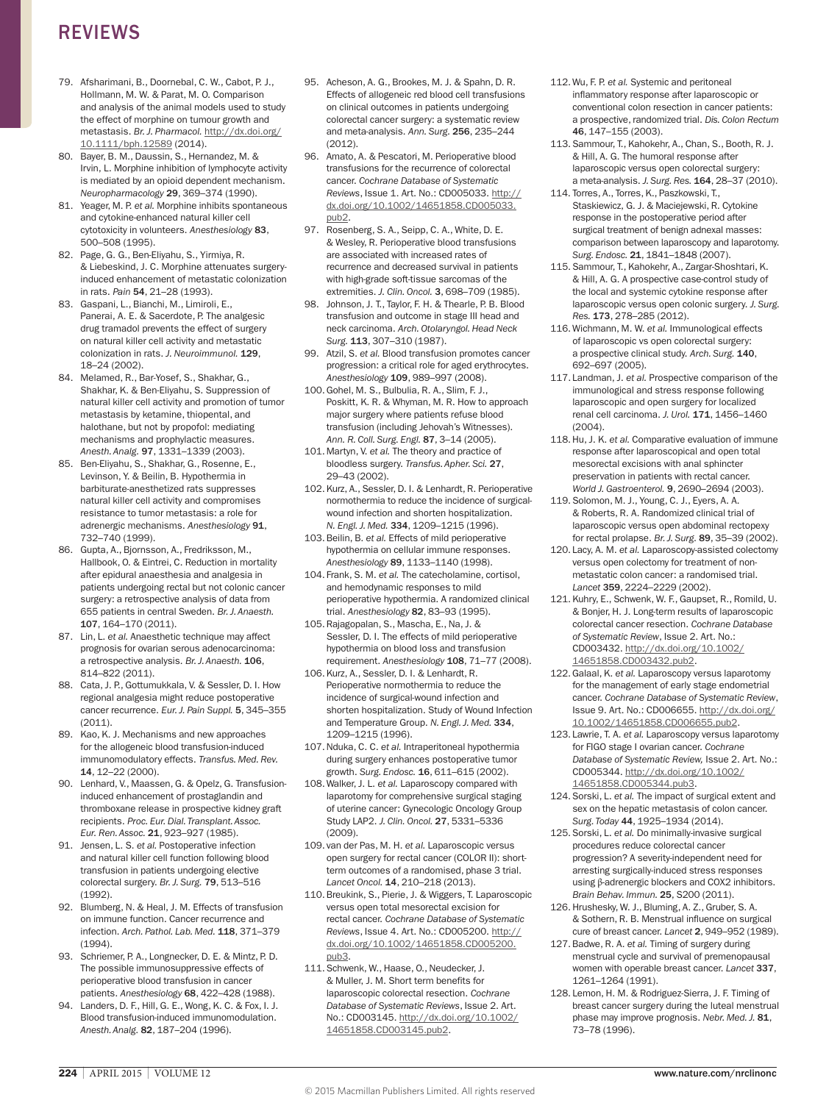- 79. Afsharimani, B., Doornebal, C. W., Cabot, P. J., Hollmann, M. W. & Parat, M. O. Comparison and analysis of the animal models used to study the effect of morphine on tumour growth and metastasis. *Br. J. Pharmacol.* [http://dx.doi.org/](http://dx.doi.org/10.1111/bph.12589) [10.1111/bph.12589](http://dx.doi.org/10.1111/bph.12589) (2014).
- 80. Bayer, B. M., Daussin, S., Hernandez, M. & Irvin, L. Morphine inhibition of lymphocyte activity is mediated by an opioid dependent mechanism. *Neuropharmacology* 29, 369–374 (1990).
- 81. Yeager, M. P. *et al.* Morphine inhibits spontaneous and cytokine-enhanced natural killer cell cytotoxicity in volunteers. *Anesthesiology* 83, 500–508 (1995).
- 82. Page, G. G., Ben-Eliyahu, S., Yirmiya, R. & Liebeskind, J. C. Morphine attenuates surgeryinduced enhancement of metastatic colonization in rats. *Pain* 54, 21–28 (1993).
- 83. Gaspani, L., Bianchi, M., Limiroli, E., Panerai, A. E. & Sacerdote, P. The analgesic drug tramadol prevents the effect of surgery on natural killer cell activity and metastatic colonization in rats. *J. Neuroimmunol.* 129, 18–24 (2002).
- 84. Melamed, R., Bar-Yosef, S., Shakhar, G., Shakhar, K. & Ben-Eliyahu, S. Suppression of natural killer cell activity and promotion of tumor metastasis by ketamine, thiopental, and halothane, but not by propofol: mediating mechanisms and prophylactic measures. *Anesth. Analg.* 97, 1331–1339 (2003).
- 85. Ben-Eliyahu, S., Shakhar, G., Rosenne, E., Levinson, Y. & Beilin, B. Hypothermia in barbiturate-anesthetized rats suppresses natural killer cell activity and compromises resistance to tumor metastasis: a role for adrenergic mechanisms. *Anesthesiology* 91, 732–740 (1999).
- 86. Gupta, A., Bjornsson, A., Fredriksson, M., Hallbook, O. & Eintrei, C. Reduction in mortality after epidural anaesthesia and analgesia in patients undergoing rectal but not colonic cancer surgery: a retrospective analysis of data from 655 patients in central Sweden. *Br. J. Anaesth.* 107, 164–170 (2011).
- 87. Lin, L. *et al.* Anaesthetic technique may affect prognosis for ovarian serous adenocarcinoma: a retrospective analysis. *Br. J. Anaesth.* 106, 814–822 (2011).
- 88. Cata, J. P., Gottumukkala, V. & Sessler, D. I. How regional analgesia might reduce postoperative cancer recurrence. *Eur. J. Pain Suppl.* 5, 345–355 (2011).
- 89. Kao, K. J. Mechanisms and new approaches for the allogeneic blood transfusion-induced immunomodulatory effects. *Transfus. Med. Rev.* 14, 12–22 (2000).
- 90. Lenhard, V., Maassen, G. & Opelz, G. Transfusioninduced enhancement of prostaglandin and thromboxane release in prospective kidney graft recipients. *Proc. Eur. Dial. Transplant. Assoc. Eur. Ren. Assoc.* 21, 923–927 (1985).
- 91. Jensen, L. S. *et al.* Postoperative infection and natural killer cell function following blood transfusion in patients undergoing elective colorectal surgery. *Br. J. Surg.* 79, 513–516 (1992).
- 92. Blumberg, N. & Heal, J. M. Effects of transfusion on immune function. Cancer recurrence and infection. *Arch. Pathol. Lab. Med.* 118, 371–379 (1994).
- 93. Schriemer, P. A., Longnecker, D. E. & Mintz, P. D. The possible immunosuppressive effects of perioperative blood transfusion in cancer patients. *Anesthesiology* 68, 422–428 (1988).
- 94. Landers, D. F., Hill, G. E., Wong, K. C. & Fox, I. J. Blood transfusion-induced immunomodulation. *Anesth. Analg.* 82, 187–204 (1996).
- 95. Acheson, A. G., Brookes, M. J. & Spahn, D. R. Effects of allogeneic red blood cell transfusions on clinical outcomes in patients undergoing colorectal cancer surgery: a systematic review and meta-analysis. *Ann. Surg.* 256, 235–244 (2012).
- 96. Amato, A. & Pescatori, M. Perioperative blood transfusions for the recurrence of colorectal cancer. *Cochrane Database of Systematic Reviews*, Issue 1. Art. No.: CD005033. [http://](http://dx.doi.org/10.1002/14651858.CD005033.pub2) [dx.doi.org/10.1002/14651858.CD005033.](http://dx.doi.org/10.1002/14651858.CD005033.pub2) pub<sub>2</sub>
- 97. Rosenberg, S. A., Seipp, C. A., White, D. E. & Wesley, R. Perioperative blood transfusions are associated with increased rates of recurrence and decreased survival in patients with high-grade soft-tissue sarcomas of the extremities. *J. Clin. Oncol.* 3, 698–709 (1985).
- 98. Johnson, J. T., Taylor, F. H. & Thearle, P. B. Blood transfusion and outcome in stage III head and neck carcinoma. *Arch. Otolaryngol. Head Neck Surg.* 113, 307–310 (1987).
- 99. Atzil, S. *et al.* Blood transfusion promotes cancer progression: a critical role for aged erythrocytes. *Anesthesiology* 109, 989–997 (2008).
- 100.Gohel, M. S., Bulbulia, R. A., Slim, F. J., Poskitt, K. R. & Whyman, M. R. How to approach major surgery where patients refuse blood transfusion (including Jehovah's Witnesses). *Ann. R. Coll. Surg. Engl.* 87, 3–14 (2005).
- 101. Martyn, V. *et al.* The theory and practice of bloodless surgery. *Transfus. Apher. Sci.* 27, 29–43 (2002).
- 102.Kurz, A., Sessler, D. I. & Lenhardt, R. Perioperative normothermia to reduce the incidence of surgicalwound infection and shorten hospitalization. *N. Engl. J. Med.* 334, 1209–1215 (1996).
- 103.Beilin, B. *et al.* Effects of mild perioperative hypothermia on cellular immune responses. *Anesthesiology* 89, 1133–1140 (1998).
- 104. Frank, S. M. *et al.* The catecholamine, cortisol, and hemodynamic responses to mild perioperative hypothermia. A randomized clinical trial. *Anesthesiology* 82, 83–93 (1995).
- 105.Rajagopalan, S., Mascha, E., Na, J. & Sessler, D. I. The effects of mild perioperative hypothermia on blood loss and transfusion requirement. *Anesthesiology* 108, 71–77 (2008).
- 106.Kurz, A., Sessler, D. I. & Lenhardt, R. Perioperative normothermia to reduce the incidence of surgical-wound infection and shorten hospitalization. Study of Wound Infection and Temperature Group. *N. Engl. J. Med.* 334, 1209–1215 (1996).
- 107.Nduka, C. C. *et al.* Intraperitoneal hypothermia during surgery enhances postoperative tumor growth. *Surg. Endosc.* 16, 611–615 (2002).
- 108. Walker, J. L. *et al.* Laparoscopy compared with laparotomy for comprehensive surgical staging of uterine cancer: Gynecologic Oncology Group Study LAP2. *J. Clin. Oncol.* 27, 5331–5336 (2009).
- 109. van der Pas, M. H. *et al.* Laparoscopic versus open surgery for rectal cancer (COLOR II): shortterm outcomes of a randomised, phase 3 trial. *Lancet Oncol.* 14, 210–218 (2013).
- 110.Breukink, S., Pierie, J. & Wiggers, T. Laparoscopic versus open total mesorectal excision for rectal cancer. *Cochrane Database of Systematic Reviews*, Issue 4. Art. No.: CD005200. [http://](http://dx.doi.org/10.1002/14651858.CD005200.pub3) [dx.doi.org/10.1002/14651858.CD005200.](http://dx.doi.org/10.1002/14651858.CD005200.pub3) [pub3.](http://dx.doi.org/10.1002/14651858.CD005200.pub3)
- 111.Schwenk, W., Haase, O., Neudecker, J. & Muller, J. M. Short term benefits for laparoscopic colorectal resection. *Cochrane Database of Systematic Reviews*, Issue 2. Art. No.: CD003145. [http://dx.doi.org/10.1002/](http://dx.doi.org/10.1002/14651858.CD003145.pub2) [14651858.CD003145.pub2.](http://dx.doi.org/10.1002/14651858.CD003145.pub2)
- 112. Wu, F. P. *et al.* Systemic and peritoneal inflammatory response after laparoscopic or conventional colon resection in cancer patients: a prospective, randomized trial. *Dis. Colon Rectum* 46, 147–155 (2003).
- 113.Sammour, T., Kahokehr, A., Chan, S., Booth, R. J. & Hill, A. G. The humoral response after laparoscopic versus open colorectal surgery: a meta-analysis. *J. Surg. Res.* 164, 28–37 (2010).
- 114. Torres, A., Torres, K., Paszkowski, T., Staskiewicz, G. J. & Maciejewski, R. Cytokine response in the postoperative period after surgical treatment of benign adnexal masses: comparison between laparoscopy and laparotomy. *Surg. Endosc.* 21, 1841–1848 (2007).
- 115.Sammour, T., Kahokehr, A., Zargar-Shoshtari, K. & Hill, A. G. A prospective case-control study of the local and systemic cytokine response after laparoscopic versus open colonic surgery. *J. Surg. Res.* 173, 278–285 (2012).
- 116. Wichmann, M. W. *et al.* Immunological effects of laparoscopic vs open colorectal surgery: a prospective clinical study. *Arch. Surg.* 140, 692–697 (2005).
- 117. Landman, J. *et al.* Prospective comparison of the immunological and stress response following laparoscopic and open surgery for localized renal cell carcinoma. *J. Urol.* 171, 1456-1460  $(2004)$
- 118.Hu, J. K. *et al.* Comparative evaluation of immune response after laparoscopical and open total mesorectal excisions with anal sphincter preservation in patients with rectal cancer. *World J. Gastroenterol.* 9, 2690–2694 (2003).
- 119.Solomon, M. J., Young, C. J., Eyers, A. A. & Roberts, R. A. Randomized clinical trial of laparoscopic versus open abdominal rectopexy for rectal prolapse. *Br. J. Surg.* 89, 35–39 (2002).
- 120. Lacy, A. M. *et al.* Laparoscopy-assisted colectomy versus open colectomy for treatment of nonmetastatic colon cancer: a randomised trial. *Lancet* 359, 2224–2229 (2002).
- 121.Kuhry, E., Schwenk, W. F., Gaupset, R., Romild, U. & Bonjer, H. J. Long-term results of laparoscopic colorectal cancer resection. *Cochrane Database of Systematic Review*, Issue 2. Art. No.: CD003432. [http://dx.doi.org/10.1002/](http://dx.doi.org/10.1002/14651858.CD003432.pub2) [14651858.CD003432.pub2](http://dx.doi.org/10.1002/14651858.CD003432.pub2).
- 122.Galaal, K. *et al.* Laparoscopy versus laparotomy for the management of early stage endometrial cancer. *Cochrane Database of Systematic Review*, Issue 9. Art. No.: CD006655. [http://dx.doi.org/](http://dx.doi.org/10.1002/14651858.CD006655.pub2) [10.1002/14651858.CD006655.pub2.](http://dx.doi.org/10.1002/14651858.CD006655.pub2)
- 123. Lawrie, T. A. *et al.* Laparoscopy versus laparotomy for FIGO stage I ovarian cancer. *Cochrane Database of Systematic Review,* Issue 2. Art. No.: CD005344. [http://dx.doi.org/10.1002/](http://dx.doi.org/10.1002/14651858.CD005344.pub3) [14651858.CD005344.pub3](http://dx.doi.org/10.1002/14651858.CD005344.pub3).
- 124.Sorski, L. *et al.* The impact of surgical extent and sex on the hepatic metastasis of colon cancer. *Surg. Today* 44, 1925–1934 (2014).
- 125.Sorski, L. *et al.* Do minimally-invasive surgical procedures reduce colorectal cancer progression? A severity-independent need for arresting surgically-induced stress responses using β-adrenergic blockers and COX2 inhibitors. *Brain Behav. Immun.* 25, S200 (2011).
- 126. Hrushesky, W. J., Bluming, A. Z., Gruber, S. A. & Sothern, R. B. Menstrual influence on surgical cure of breast cancer. *Lancet* 2, 949–952 (1989).
- 127.Badwe, R. A. *et al.* Timing of surgery during menstrual cycle and survival of premenopausal women with operable breast cancer. *Lancet* 337, 1261–1264 (1991).
- 128. Lemon, H. M. & Rodriguez-Sierra, J. F. Timing of breast cancer surgery during the luteal menstrual phase may improve prognosis. *Nebr. Med. J.* 81, 73–78 (1996).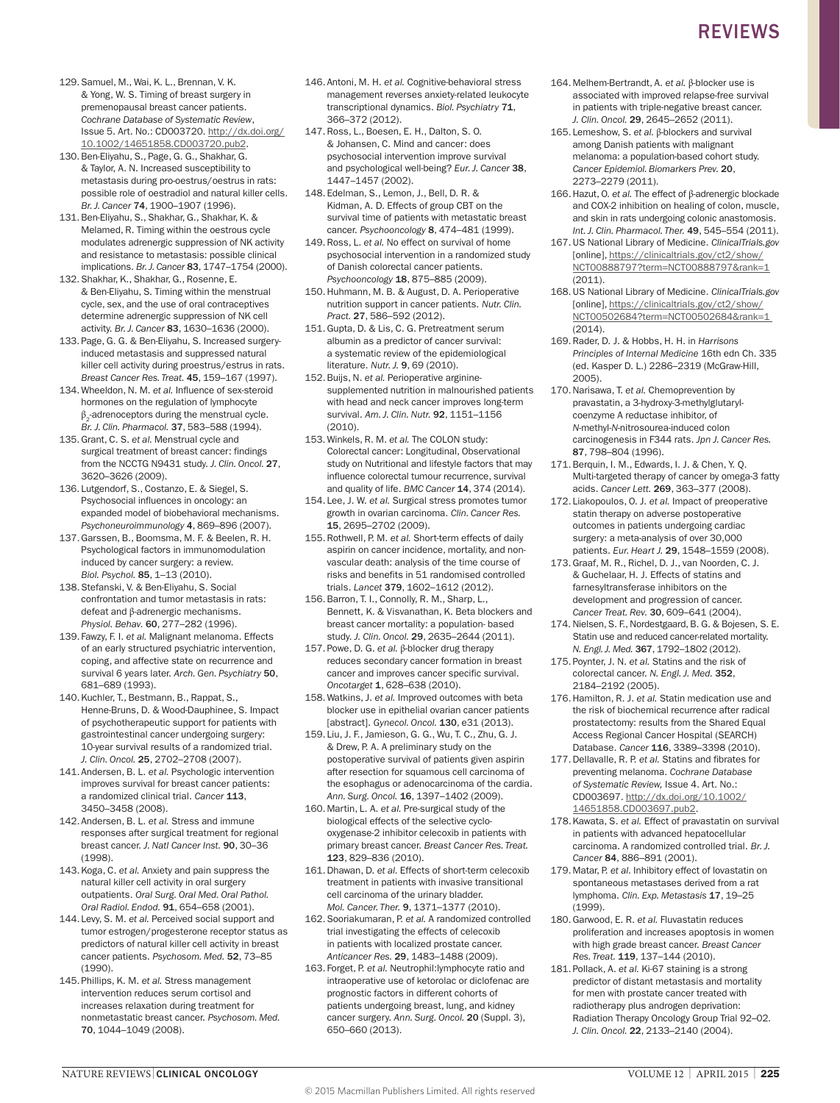- 129. Samuel, M., Wai, K. L., Brennan, V. K. & Yong, W. S. Timing of breast surgery in premenopausal breast cancer patients. *Cochrane Database of Systematic Review*, Issue 5. Art. No.: CD003720. [http://dx.doi.org/](http://dx.doi.org/10.1002/14651858.CD003720.pub2) [10.1002/14651858.CD003720.pub2](http://dx.doi.org/10.1002/14651858.CD003720.pub2).
- 130.Ben-Eliyahu, S., Page, G. G., Shakhar, G. & Taylor, A. N. Increased susceptibility to metastasis during pro-oestrus/oestrus in rats: possible role of oestradiol and natural killer cells. *Br. J. Cancer* 74, 1900–1907 (1996).
- 131.Ben-Eliyahu, S., Shakhar, G., Shakhar, K. & Melamed, R. Timing within the oestrous cycle modulates adrenergic suppression of NK activity and resistance to metastasis: possible clinical implications. *Br. J. Cancer* 83, 1747–1754 (2000).
- 132.Shakhar, K., Shakhar, G., Rosenne, E. & Ben-Eliyahu, S. Timing within the menstrual cycle, sex, and the use of oral contraceptives determine adrenergic suppression of NK cell activity. *Br. J. Cancer* 83, 1630–1636 (2000).
- 133. Page, G. G. & Ben-Eliyahu, S. Increased surgeryinduced metastasis and suppressed natural killer cell activity during proestrus/estrus in rats. *Breast Cancer Res. Treat.* 45, 159–167 (1997).
- 134. Wheeldon, N. M. *et al.* Influence of sex-steroid hormones on the regulation of lymphocyte  $\beta_2$ -adrenoceptors during the menstrual cycle. *Br. J. Clin. Pharmacol.* 37, 583–588 (1994).
- 135.Grant, C. S. *et al.* Menstrual cycle and surgical treatment of breast cancer: findings from the NCCTG N9431 study. *J. Clin. Oncol.* 27, 3620–3626 (2009).
- 136. Lutgendorf, S., Costanzo, E. & Siegel, S. Psychosocial influences in oncology: an expanded model of biobehavioral mechanisms. *Psychoneuroimmunology* 4, 869–896 (2007).
- 137.Garssen, B., Boomsma, M. F. & Beelen, R. H. Psychological factors in immunomodulation induced by cancer surgery: a review. *Biol. Psychol.* 85, 1–13 (2010).
- 138.Stefanski, V. & Ben-Eliyahu, S. Social confrontation and tumor metastasis in rats: defeat and β-adrenergic mechanisms. *Physiol. Behav.* 60, 277–282 (1996).
- 139. Fawzy, F. I. *et al.* Malignant melanoma. Effects of an early structured psychiatric intervention, coping, and affective state on recurrence and survival 6 years later. *Arch. Gen. Psychiatry* 50, 681–689 (1993).
- 140. Kuchler, T., Bestmann, B., Rappat, S., Henne-Bruns, D. & Wood-Dauphinee, S. Impact of psychotherapeutic support for patients with gastrointestinal cancer undergoing surgery: 10-year survival results of a randomized trial. *J. Clin. Oncol.* 25, 2702–2708 (2007).
- 141.Andersen, B. L. *et al.* Psychologic intervention improves survival for breast cancer patients: a randomized clinical trial. *Cancer* 113, 3450–3458 (2008).
- 142.Andersen, B. L. *et al.* Stress and immune responses after surgical treatment for regional breast cancer. *J. Natl Cancer Inst.* 90, 30–36 (1998).
- 143.Koga, C. *et al.* Anxiety and pain suppress the natural killer cell activity in oral surgery outpatients. *Oral Surg. Oral Med. Oral Pathol. Oral Radiol. Endod.* 91, 654–658 (2001).
- 144. Levy, S. M. *et al.* Perceived social support and tumor estrogen/progesterone receptor status as predictors of natural killer cell activity in breast cancer patients. *Psychosom. Med.* 52, 73–85 (1990).
- 145.Phillips, K. M. *et al.* Stress management intervention reduces serum cortisol and increases relaxation during treatment for nonmetastatic breast cancer. *Psychosom. Med.* 70, 1044–1049 (2008).
- 146.Antoni, M. H. *et al.* Cognitive-behavioral stress management reverses anxiety-related leukocyte transcriptional dynamics. *Biol. Psychiatry* 71, 366–372 (2012).
- 147.Ross, L., Boesen, E. H., Dalton, S. O. & Johansen, C. Mind and cancer: does psychosocial intervention improve survival and psychological well-being? *Eur. J. Cancer* 38, 1447–1457 (2002).
- 148.Edelman, S., Lemon, J., Bell, D. R. & Kidman, A. D. Effects of group CBT on the survival time of patients with metastatic breast cancer. *Psychooncology* 8, 474–481 (1999).
- 149.Ross, L. *et al.* No effect on survival of home psychosocial intervention in a randomized study of Danish colorectal cancer patients. *Psychooncology* 18, 875–885 (2009).
- 150.Huhmann, M. B. & August, D. A. Perioperative nutrition support in cancer patients. *Nutr. Clin. Pract.* 27, 586–592 (2012).
- 151.Gupta, D. & Lis, C. G. Pretreatment serum albumin as a predictor of cancer survival: a systematic review of the epidemiological literature. *Nutr. J.* 9, 69 (2010).
- 152.Buijs, N. *et al.* Perioperative argininesupplemented nutrition in malnourished patients with head and neck cancer improves long-term survival. *Am. J. Clin. Nutr.* 92, 1151–1156 (2010).
- 153. Winkels, R. M. *et al.* The COLON study: Colorectal cancer: Longitudinal, Observational study on Nutritional and lifestyle factors that may influence colorectal tumour recurrence, survival and quality of life. *BMC Cancer* 14, 374 (2014).
- 154. Lee, J. W. *et al.* Surgical stress promotes tumor growth in ovarian carcinoma. *Clin. Cancer Res.* 15, 2695–2702 (2009).
- 155.Rothwell, P. M. *et al.* Short-term effects of daily aspirin on cancer incidence, mortality, and nonvascular death: analysis of the time course of risks and benefits in 51 randomised controlled trials. *Lancet* 379, 1602–1612 (2012).
- 156.Barron, T. I., Connolly, R. M., Sharp, L., Bennett, K. & Visvanathan, K. Beta blockers and breast cancer mortality: a population- based study. *J. Clin. Oncol.* 29, 2635–2644 (2011).
- 157.Powe, D. G. *et al.* β-blocker drug therapy reduces secondary cancer formation in breast cancer and improves cancer specific survival. *Oncotarget* 1, 628–638 (2010).
- 158.Watkins, J. *et al.* Improved outcomes with beta blocker use in epithelial ovarian cancer patients [abstract]. *Gynecol. Oncol.* 130, e31 (2013).
- 159. Liu, J. F., Jamieson, G. G., Wu, T. C., Zhu, G. J. & Drew, P. A. A preliminary study on the postoperative survival of patients given aspirin after resection for squamous cell carcinoma of the esophagus or adenocarcinoma of the cardia. *Ann. Surg. Oncol.* 16, 1397–1402 (2009).
- 160.Martin, L. A. *et al.* Pre-surgical study of the biological effects of the selective cyclooxygenase-2 inhibitor celecoxib in patients with primary breast cancer. *Breast Cancer Res. Treat.* 123, 829–836 (2010).
- 161.Dhawan, D. *et al.* Effects of short-term celecoxib treatment in patients with invasive transitional cell carcinoma of the urinary bladder. *Mol. Cancer. Ther.* 9, 1371–1377 (2010).
- 162.Sooriakumaran, P. *et al.* A randomized controlled trial investigating the effects of celecoxib in patients with localized prostate cancer. *Anticancer Res.* 29, 1483–1488 (2009).
- 163. Forget, P. *et al.* Neutrophil:lymphocyte ratio and intraoperative use of ketorolac or diclofenac are prognostic factors in different cohorts of patients undergoing breast, lung, and kidney cancer surgery. *Ann. Surg. Oncol.* 20 (Suppl. 3), 650–660 (2013).
- 164.Melhem-Bertrandt, A. *et al.* β-blocker use is associated with improved relapse-free survival in patients with triple-negative breast cancer. *J. Clin. Oncol.* 29, 2645–2652 (2011).
- 165. Lemeshow, S. *et al.* β-blockers and survival among Danish patients with malignant melanoma: a population-based cohort study. *Cancer Epidemiol. Biomarkers Prev.* 20, 2273–2279 (2011).
- 166.Hazut, O. *et al.* The effect of β-adrenergic blockade and COX-2 inhibition on healing of colon, muscle, and skin in rats undergoing colonic anastomosis. *Int. J. Clin. Pharmacol. Ther.* 49, 545–554 (2011).
- 167.US National Library of Medicine. *ClinicalTrials.gov* [online], [https://clinicaltrials.gov/ct2/show/](https://clinicaltrials.gov/ct2/show/NCT00888797?term=NCT00888797&rank=1) [NCT00888797?term=NCT00888797&rank=1](https://clinicaltrials.gov/ct2/show/NCT00888797?term=NCT00888797&rank=1) (2011).
- 168.US National Library of Medicine. *ClinicalTrials.gov*  [online], [https://clinicaltrials.gov/ct2/show/](https://clinicaltrials.gov/ct2/show/NCT00502684?term=NCT00502684&rank=1) [NCT00502684?term=NCT00502684&rank=1](https://clinicaltrials.gov/ct2/show/NCT00502684?term=NCT00502684&rank=1) (2014).
- 169.Rader, D. J. & Hobbs, H. H. in *Harrisons Principles of Internal Medicine* 16th edn Ch. 335 (ed. Kasper D. L.) 2286–2319 (McGraw-Hill, 2005).
- 170.Narisawa, T. *et al.* Chemoprevention by pravastatin, a 3-hydroxy-3-methylglutarylcoenzyme A reductase inhibitor, of *N*-methyl-*N*-nitrosourea-induced colon carcinogenesis in F344 rats. *Jpn J. Cancer Res.* 87, 798–804 (1996).
- 171.Berquin, I. M., Edwards, I. J. & Chen, Y. Q. Multi-targeted therapy of cancer by omega-3 fatty acids. *Cancer Lett.* 269, 363–377 (2008).
- 172. Liakopoulos, O. J. *et al.* Impact of preoperative statin therapy on adverse postoperative outcomes in patients undergoing cardiac surgery: a meta-analysis of over 30,000 patients. *Eur. Heart J.* 29, 1548–1559 (2008).
- 173.Graaf, M. R., Richel, D. J., van Noorden, C. J. & Guchelaar, H. J. Effects of statins and farnesyltransferase inhibitors on the development and progression of cancer. *Cancer Treat. Rev.* 30, 609–641 (2004).
- 174. Nielsen, S. F., Nordestgaard, B. G. & Bojesen, S. E. Statin use and reduced cancer-related mortality. *N. Engl. J. Med.* 367, 1792–1802 (2012).
- 175.Poynter, J. N. *et al.* Statins and the risk of colorectal cancer. *N. Engl. J. Med.* 352, 2184–2192 (2005).
- 176.Hamilton, R. J. *et al.* Statin medication use and the risk of biochemical recurrence after radical prostatectomy: results from the Shared Equal Access Regional Cancer Hospital (SEARCH) Database. *Cancer* 116, 3389–3398 (2010).
- 177.Dellavalle, R. P. *et al.* Statins and fibrates for preventing melanoma. *Cochrane Database of Systematic Review,* Issue 4. Art. No.: CD003697. [http://dx.doi.org/10.1002/](http://dx.doi.org/10.1002/14651858.CD003697.pub2) [14651858.CD003697.pub2](http://dx.doi.org/10.1002/14651858.CD003697.pub2).
- 178.Kawata, S. *et al.* Effect of pravastatin on survival in patients with advanced hepatocellular carcinoma. A randomized controlled trial. *Br. J. Cancer* 84, 886–891 (2001).
- 179.Matar, P. *et al.* Inhibitory effect of lovastatin on spontaneous metastases derived from a rat lymphoma. *Clin. Exp. Metastasis* 17, 19–25 (1999).
- 180.Garwood, E. R. *et al.* Fluvastatin reduces proliferation and increases apoptosis in women with high grade breast cancer. *Breast Cancer Res. Treat.* 119, 137–144 (2010).
- 181.Pollack, A. *et al.* Ki-67 staining is a strong predictor of distant metastasis and mortality for men with prostate cancer treated with radiotherapy plus androgen deprivation: Radiation Therapy Oncology Group Trial 92–02*. J. Clin. Oncol.* 22, 2133–2140 (2004).